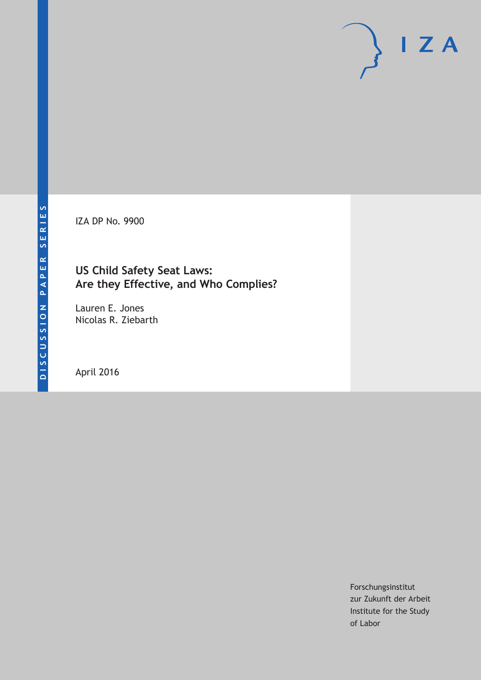IZA DP No. 9900

# **US Child Safety Seat Laws: Are they Effective, and Who Complies?**

Lauren E. Jones Nicolas R. Ziebarth

April 2016

Forschungsinstitut zur Zukunft der Arbeit Institute for the Study of Labor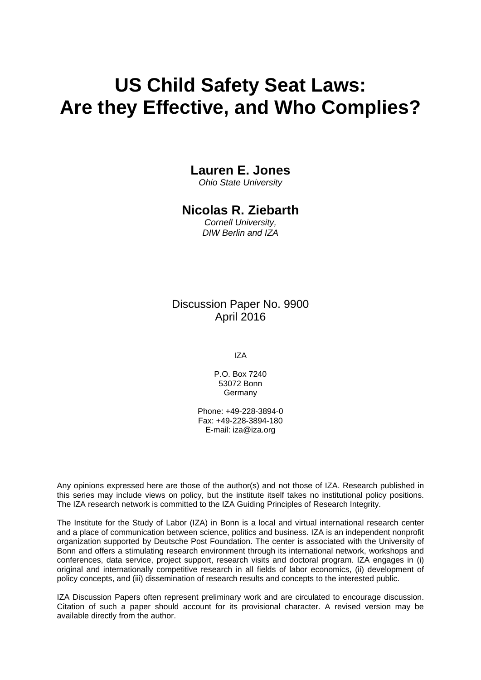# **US Child Safety Seat Laws: Are they Effective, and Who Complies?**

# **Lauren E. Jones**

*Ohio State University* 

# **Nicolas R. Ziebarth**

*Cornell University, DIW Berlin and IZA* 

# Discussion Paper No. 9900 April 2016

IZA

P.O. Box 7240 53072 Bonn **Germany** 

Phone: +49-228-3894-0 Fax: +49-228-3894-180 E-mail: iza@iza.org

Any opinions expressed here are those of the author(s) and not those of IZA. Research published in this series may include views on policy, but the institute itself takes no institutional policy positions. The IZA research network is committed to the IZA Guiding Principles of Research Integrity.

The Institute for the Study of Labor (IZA) in Bonn is a local and virtual international research center and a place of communication between science, politics and business. IZA is an independent nonprofit organization supported by Deutsche Post Foundation. The center is associated with the University of Bonn and offers a stimulating research environment through its international network, workshops and conferences, data service, project support, research visits and doctoral program. IZA engages in (i) original and internationally competitive research in all fields of labor economics, (ii) development of policy concepts, and (iii) dissemination of research results and concepts to the interested public.

IZA Discussion Papers often represent preliminary work and are circulated to encourage discussion. Citation of such a paper should account for its provisional character. A revised version may be available directly from the author.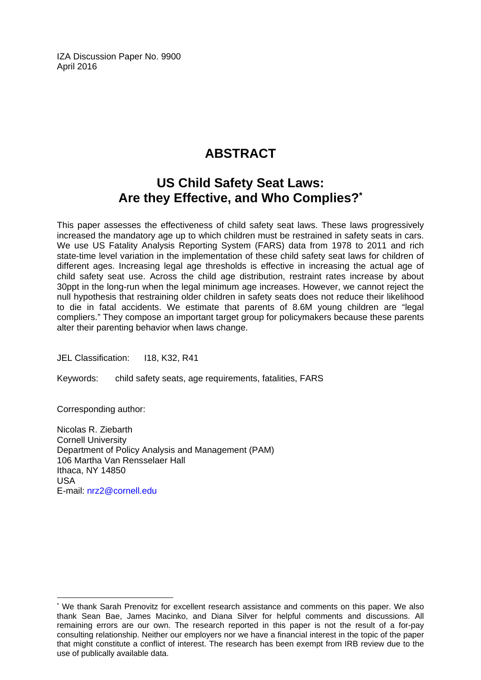IZA Discussion Paper No. 9900 April 2016

# **ABSTRACT**

# **US Child Safety Seat Laws: Are they Effective, and Who Complies?\***

This paper assesses the effectiveness of child safety seat laws. These laws progressively increased the mandatory age up to which children must be restrained in safety seats in cars. We use US Fatality Analysis Reporting System (FARS) data from 1978 to 2011 and rich state-time level variation in the implementation of these child safety seat laws for children of different ages. Increasing legal age thresholds is effective in increasing the actual age of child safety seat use. Across the child age distribution, restraint rates increase by about 30ppt in the long-run when the legal minimum age increases. However, we cannot reject the null hypothesis that restraining older children in safety seats does not reduce their likelihood to die in fatal accidents. We estimate that parents of 8.6M young children are "legal compliers." They compose an important target group for policymakers because these parents alter their parenting behavior when laws change.

JEL Classification: I18, K32, R41

Keywords: child safety seats, age requirements, fatalities, FARS

Corresponding author:

 $\overline{a}$ 

Nicolas R. Ziebarth Cornell University Department of Policy Analysis and Management (PAM) 106 Martha Van Rensselaer Hall Ithaca, NY 14850 USA E-mail: nrz2@cornell.edu

<sup>\*</sup> We thank Sarah Prenovitz for excellent research assistance and comments on this paper. We also thank Sean Bae, James Macinko, and Diana Silver for helpful comments and discussions. All remaining errors are our own. The research reported in this paper is not the result of a for-pay consulting relationship. Neither our employers nor we have a financial interest in the topic of the paper that might constitute a conflict of interest. The research has been exempt from IRB review due to the use of publically available data.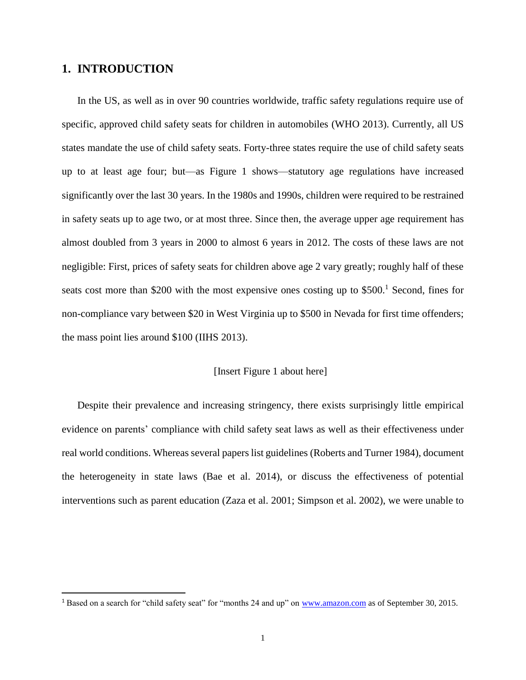### **1. INTRODUCTION**

l

In the US, as well as in over 90 countries worldwide, traffic safety regulations require use of specific, approved child safety seats for children in automobiles (WHO 2013). Currently, all US states mandate the use of child safety seats. Forty-three states require the use of child safety seats up to at least age four; but—as Figure 1 shows—statutory age regulations have increased significantly over the last 30 years. In the 1980s and 1990s, children were required to be restrained in safety seats up to age two, or at most three. Since then, the average upper age requirement has almost doubled from 3 years in 2000 to almost 6 years in 2012. The costs of these laws are not negligible: First, prices of safety seats for children above age 2 vary greatly; roughly half of these seats cost more than \$200 with the most expensive ones costing up to  $$500<sup>1</sup>$  Second, fines for non-compliance vary between \$20 in West Virginia up to \$500 in Nevada for first time offenders; the mass point lies around \$100 (IIHS 2013).

#### [Insert Figure 1 about here]

Despite their prevalence and increasing stringency, there exists surprisingly little empirical evidence on parents' compliance with child safety seat laws as well as their effectiveness under real world conditions. Whereas several papers list guidelines (Roberts and Turner 1984), document the heterogeneity in state laws (Bae et al. 2014), or discuss the effectiveness of potential interventions such as parent education (Zaza et al. 2001; Simpson et al. 2002), we were unable to

<sup>1</sup> Based on a search for "child safety seat" for "months 24 and up" on [www.amazon.com](http://www.amazon.com/) as of September 30, 2015.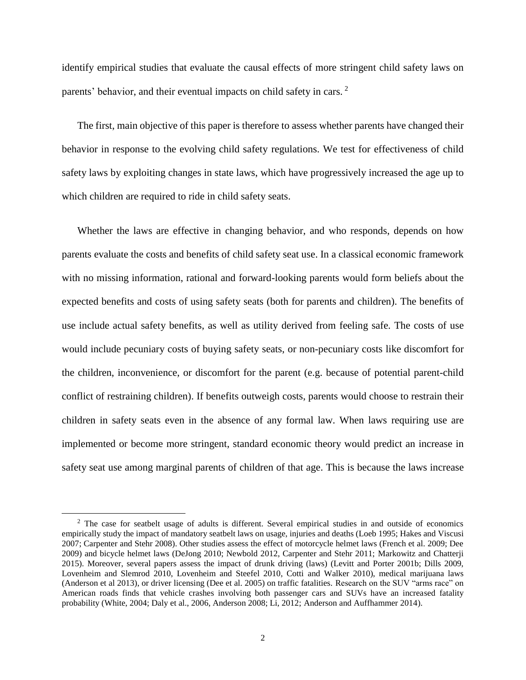identify empirical studies that evaluate the causal effects of more stringent child safety laws on parents' behavior, and their eventual impacts on child safety in cars. <sup>2</sup>

The first, main objective of this paper is therefore to assess whether parents have changed their behavior in response to the evolving child safety regulations. We test for effectiveness of child safety laws by exploiting changes in state laws, which have progressively increased the age up to which children are required to ride in child safety seats.

Whether the laws are effective in changing behavior, and who responds, depends on how parents evaluate the costs and benefits of child safety seat use. In a classical economic framework with no missing information, rational and forward-looking parents would form beliefs about the expected benefits and costs of using safety seats (both for parents and children). The benefits of use include actual safety benefits, as well as utility derived from feeling safe. The costs of use would include pecuniary costs of buying safety seats, or non-pecuniary costs like discomfort for the children, inconvenience, or discomfort for the parent (e.g. because of potential parent-child conflict of restraining children). If benefits outweigh costs, parents would choose to restrain their children in safety seats even in the absence of any formal law. When laws requiring use are implemented or become more stringent, standard economic theory would predict an increase in safety seat use among marginal parents of children of that age. This is because the laws increase

l

<sup>&</sup>lt;sup>2</sup> The case for seatbelt usage of adults is different. Several empirical studies in and outside of economics empirically study the impact of mandatory seatbelt laws on usage, injuries and deaths (Loeb 1995; Hakes and Viscusi 2007; Carpenter and Stehr 2008). Other studies assess the effect of motorcycle helmet laws (French et al. 2009; Dee 2009) and bicycle helmet laws (DeJong 2010; Newbold 2012, Carpenter and Stehr 2011; Markowitz and Chatterji 2015). Moreover, several papers assess the impact of drunk driving (laws) (Levitt and Porter 2001b; Dills 2009, Lovenheim and Slemrod 2010, Lovenheim and Steefel 2010, Cotti and Walker 2010), medical marijuana laws (Anderson et al 2013), or driver licensing (Dee et al. 2005) on traffic fatalities. Research on the SUV "arms race" on American roads finds that vehicle crashes involving both passenger cars and SUVs have an increased fatality probability (White, 2004; Daly et al., 2006, Anderson 2008; Li, 2012; Anderson and Auffhammer 2014).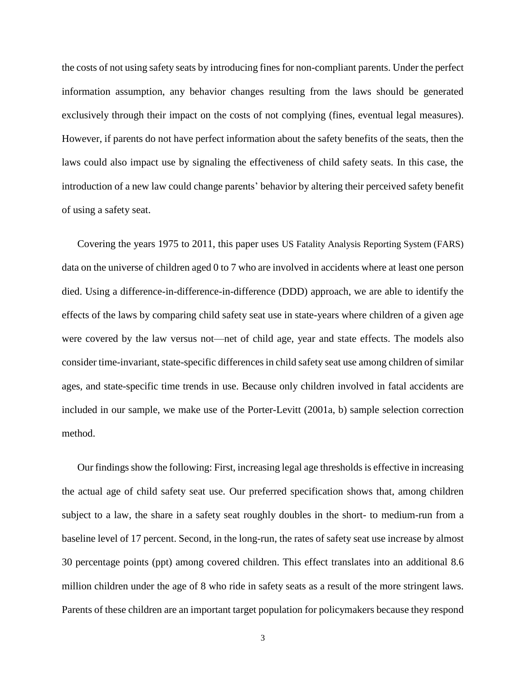the costs of not using safety seats by introducing fines for non-compliant parents. Under the perfect information assumption, any behavior changes resulting from the laws should be generated exclusively through their impact on the costs of not complying (fines, eventual legal measures). However, if parents do not have perfect information about the safety benefits of the seats, then the laws could also impact use by signaling the effectiveness of child safety seats. In this case, the introduction of a new law could change parents' behavior by altering their perceived safety benefit of using a safety seat.

Covering the years 1975 to 2011, this paper uses US Fatality Analysis Reporting System (FARS) data on the universe of children aged 0 to 7 who are involved in accidents where at least one person died. Using a difference-in-difference-in-difference (DDD) approach, we are able to identify the effects of the laws by comparing child safety seat use in state-years where children of a given age were covered by the law versus not—net of child age, year and state effects. The models also consider time-invariant, state-specific differences in child safety seat use among children of similar ages, and state-specific time trends in use. Because only children involved in fatal accidents are included in our sample, we make use of the Porter-Levitt (2001a, b) sample selection correction method.

Our findings show the following: First, increasing legal age thresholds is effective in increasing the actual age of child safety seat use. Our preferred specification shows that, among children subject to a law, the share in a safety seat roughly doubles in the short- to medium-run from a baseline level of 17 percent. Second, in the long-run, the rates of safety seat use increase by almost 30 percentage points (ppt) among covered children. This effect translates into an additional 8.6 million children under the age of 8 who ride in safety seats as a result of the more stringent laws. Parents of these children are an important target population for policymakers because they respond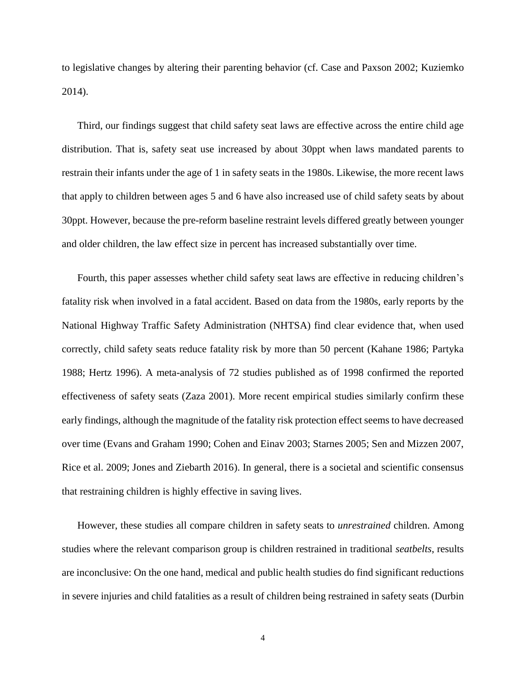to legislative changes by altering their parenting behavior (cf. Case and Paxson 2002; Kuziemko 2014).

Third, our findings suggest that child safety seat laws are effective across the entire child age distribution. That is, safety seat use increased by about 30ppt when laws mandated parents to restrain their infants under the age of 1 in safety seats in the 1980s. Likewise, the more recent laws that apply to children between ages 5 and 6 have also increased use of child safety seats by about 30ppt. However, because the pre-reform baseline restraint levels differed greatly between younger and older children, the law effect size in percent has increased substantially over time.

Fourth, this paper assesses whether child safety seat laws are effective in reducing children's fatality risk when involved in a fatal accident. Based on data from the 1980s, early reports by the National Highway Traffic Safety Administration (NHTSA) find clear evidence that, when used correctly, child safety seats reduce fatality risk by more than 50 percent (Kahane 1986; Partyka 1988; Hertz 1996). A meta-analysis of 72 studies published as of 1998 confirmed the reported effectiveness of safety seats (Zaza 2001). More recent empirical studies similarly confirm these early findings, although the magnitude of the fatality risk protection effect seems to have decreased over time (Evans and Graham 1990; Cohen and Einav 2003; Starnes 2005; Sen and Mizzen 2007, Rice et al. 2009; Jones and Ziebarth 2016). In general, there is a societal and scientific consensus that restraining children is highly effective in saving lives.

However, these studies all compare children in safety seats to *unrestrained* children. Among studies where the relevant comparison group is children restrained in traditional *seatbelts*, results are inconclusive: On the one hand, medical and public health studies do find significant reductions in severe injuries and child fatalities as a result of children being restrained in safety seats (Durbin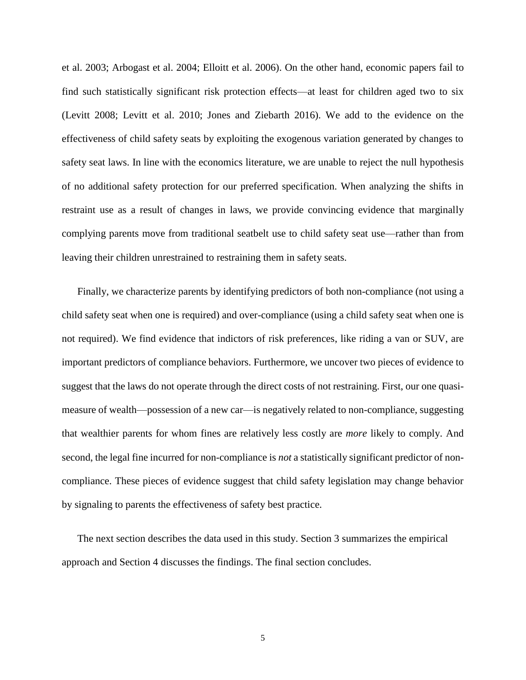et al. 2003; Arbogast et al. 2004; Elloitt et al. 2006). On the other hand, economic papers fail to find such statistically significant risk protection effects—at least for children aged two to six (Levitt 2008; Levitt et al. 2010; Jones and Ziebarth 2016). We add to the evidence on the effectiveness of child safety seats by exploiting the exogenous variation generated by changes to safety seat laws. In line with the economics literature, we are unable to reject the null hypothesis of no additional safety protection for our preferred specification. When analyzing the shifts in restraint use as a result of changes in laws, we provide convincing evidence that marginally complying parents move from traditional seatbelt use to child safety seat use—rather than from leaving their children unrestrained to restraining them in safety seats.

Finally, we characterize parents by identifying predictors of both non-compliance (not using a child safety seat when one is required) and over-compliance (using a child safety seat when one is not required). We find evidence that indictors of risk preferences, like riding a van or SUV, are important predictors of compliance behaviors. Furthermore, we uncover two pieces of evidence to suggest that the laws do not operate through the direct costs of not restraining. First, our one quasimeasure of wealth—possession of a new car—is negatively related to non-compliance, suggesting that wealthier parents for whom fines are relatively less costly are *more* likely to comply. And second, the legal fine incurred for non-compliance is *not* a statistically significant predictor of noncompliance. These pieces of evidence suggest that child safety legislation may change behavior by signaling to parents the effectiveness of safety best practice.

The next section describes the data used in this study. Section 3 summarizes the empirical approach and Section 4 discusses the findings. The final section concludes.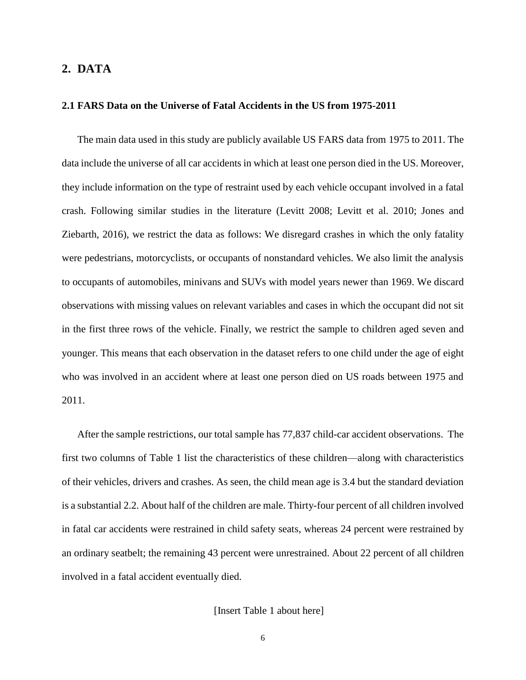#### **2. DATA**

#### **2.1 FARS Data on the Universe of Fatal Accidents in the US from 1975-2011**

The main data used in this study are publicly available US FARS data from 1975 to 2011. The data include the universe of all car accidents in which at least one person died in the US. Moreover, they include information on the type of restraint used by each vehicle occupant involved in a fatal crash. Following similar studies in the literature (Levitt 2008; Levitt et al. 2010; Jones and Ziebarth, 2016), we restrict the data as follows: We disregard crashes in which the only fatality were pedestrians, motorcyclists, or occupants of nonstandard vehicles. We also limit the analysis to occupants of automobiles, minivans and SUVs with model years newer than 1969. We discard observations with missing values on relevant variables and cases in which the occupant did not sit in the first three rows of the vehicle. Finally, we restrict the sample to children aged seven and younger. This means that each observation in the dataset refers to one child under the age of eight who was involved in an accident where at least one person died on US roads between 1975 and 2011.

After the sample restrictions, our total sample has 77,837 child-car accident observations. The first two columns of Table 1 list the characteristics of these children—along with characteristics of their vehicles, drivers and crashes. As seen, the child mean age is 3.4 but the standard deviation is a substantial 2.2. About half of the children are male. Thirty-four percent of all children involved in fatal car accidents were restrained in child safety seats, whereas 24 percent were restrained by an ordinary seatbelt; the remaining 43 percent were unrestrained. About 22 percent of all children involved in a fatal accident eventually died.

#### [Insert Table 1 about here]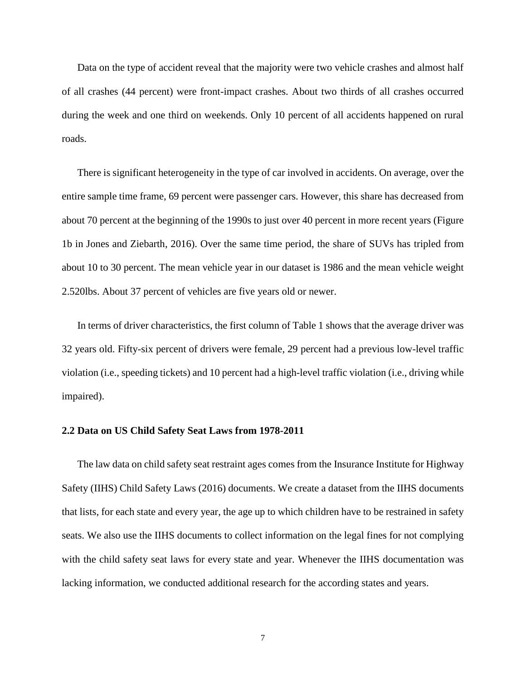Data on the type of accident reveal that the majority were two vehicle crashes and almost half of all crashes (44 percent) were front-impact crashes. About two thirds of all crashes occurred during the week and one third on weekends. Only 10 percent of all accidents happened on rural roads.

There is significant heterogeneity in the type of car involved in accidents. On average, over the entire sample time frame, 69 percent were passenger cars. However, this share has decreased from about 70 percent at the beginning of the 1990s to just over 40 percent in more recent years (Figure 1b in Jones and Ziebarth, 2016). Over the same time period, the share of SUVs has tripled from about 10 to 30 percent. The mean vehicle year in our dataset is 1986 and the mean vehicle weight 2.520lbs. About 37 percent of vehicles are five years old or newer.

In terms of driver characteristics, the first column of Table 1 shows that the average driver was 32 years old. Fifty-six percent of drivers were female, 29 percent had a previous low-level traffic violation (i.e., speeding tickets) and 10 percent had a high-level traffic violation (i.e., driving while impaired).

#### **2.2 Data on US Child Safety Seat Laws from 1978-2011**

The law data on child safety seat restraint ages comes from the Insurance Institute for Highway Safety (IIHS) Child Safety Laws (2016) documents. We create a dataset from the IIHS documents that lists, for each state and every year, the age up to which children have to be restrained in safety seats. We also use the IIHS documents to collect information on the legal fines for not complying with the child safety seat laws for every state and year. Whenever the IIHS documentation was lacking information, we conducted additional research for the according states and years.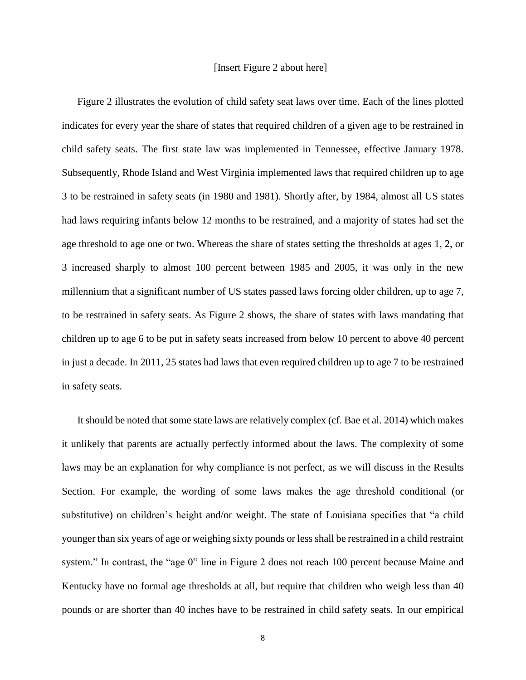#### [Insert Figure 2 about here]

Figure 2 illustrates the evolution of child safety seat laws over time. Each of the lines plotted indicates for every year the share of states that required children of a given age to be restrained in child safety seats. The first state law was implemented in Tennessee, effective January 1978. Subsequently, Rhode Island and West Virginia implemented laws that required children up to age 3 to be restrained in safety seats (in 1980 and 1981). Shortly after, by 1984, almost all US states had laws requiring infants below 12 months to be restrained, and a majority of states had set the age threshold to age one or two. Whereas the share of states setting the thresholds at ages 1, 2, or 3 increased sharply to almost 100 percent between 1985 and 2005, it was only in the new millennium that a significant number of US states passed laws forcing older children, up to age 7, to be restrained in safety seats. As Figure 2 shows, the share of states with laws mandating that children up to age 6 to be put in safety seats increased from below 10 percent to above 40 percent in just a decade. In 2011, 25 states had laws that even required children up to age 7 to be restrained in safety seats.

It should be noted that some state laws are relatively complex (cf. Bae et al. 2014) which makes it unlikely that parents are actually perfectly informed about the laws. The complexity of some laws may be an explanation for why compliance is not perfect, as we will discuss in the Results Section. For example, the wording of some laws makes the age threshold conditional (or substitutive) on children's height and/or weight. The state of Louisiana specifies that "a child younger than six years of age or weighing sixty pounds or less shall be restrained in a child restraint system." In contrast, the "age 0" line in Figure 2 does not reach 100 percent because Maine and Kentucky have no formal age thresholds at all, but require that children who weigh less than 40 pounds or are shorter than 40 inches have to be restrained in child safety seats. In our empirical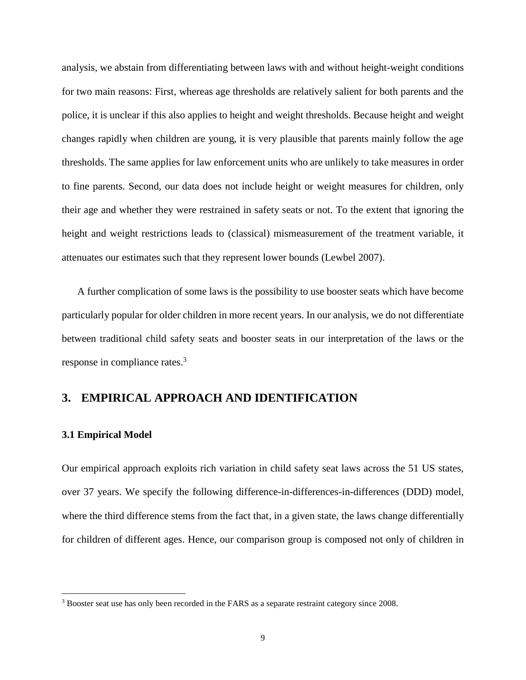analysis, we abstain from differentiating between laws with and without height-weight conditions for two main reasons: First, whereas age thresholds are relatively salient for both parents and the police, it is unclear if this also applies to height and weight thresholds. Because height and weight changes rapidly when children are young, it is very plausible that parents mainly follow the age thresholds. The same applies for law enforcement units who are unlikely to take measures in order to fine parents. Second, our data does not include height or weight measures for children, only their age and whether they were restrained in safety seats or not. To the extent that ignoring the height and weight restrictions leads to (classical) mismeasurement of the treatment variable, it attenuates our estimates such that they represent lower bounds (Lewbel 2007).

A further complication of some laws is the possibility to use booster seats which have become particularly popular for older children in more recent years. In our analysis, we do not differentiate between traditional child safety seats and booster seats in our interpretation of the laws or the response in compliance rates. 3

### **3. EMPIRICAL APPROACH AND IDENTIFICATION**

#### **3.1 Empirical Model**

 $\overline{\phantom{a}}$ 

Our empirical approach exploits rich variation in child safety seat laws across the 51 US states, over 37 years. We specify the following difference-in-differences-in-differences (DDD) model, where the third difference stems from the fact that, in a given state, the laws change differentially for children of different ages. Hence, our comparison group is composed not only of children in

<sup>&</sup>lt;sup>3</sup> Booster seat use has only been recorded in the FARS as a separate restraint category since 2008.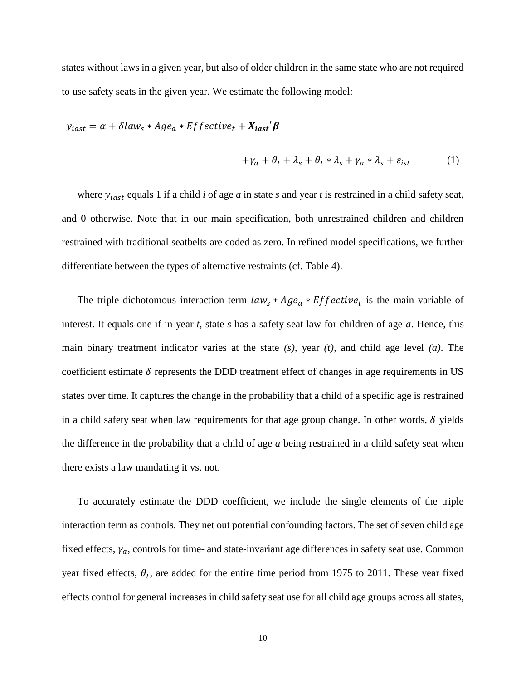states without laws in a given year, but also of older children in the same state who are not required to use safety seats in the given year. We estimate the following model:

$$
y_{iast} = \alpha + \delta law_s * Age_a * Effective_t + X_{iast}'\beta
$$

$$
+\gamma_a + \theta_t + \lambda_s + \theta_t * \lambda_s + \gamma_a * \lambda_s + \varepsilon_{ist} \tag{1}
$$

where  $y_{iast}$  equals 1 if a child *i* of age *a* in state *s* and year *t* is restrained in a child safety seat, and 0 otherwise. Note that in our main specification, both unrestrained children and children restrained with traditional seatbelts are coded as zero. In refined model specifications, we further differentiate between the types of alternative restraints (cf. Table 4).

The triple dichotomous interaction term  $law_s * Age_a * Effective_t$  is the main variable of interest. It equals one if in year *t*, state *s* has a safety seat law for children of age *a*. Hence, this main binary treatment indicator varies at the state *(s),* year *(t),* and child age level *(a)*. The coefficient estimate  $\delta$  represents the DDD treatment effect of changes in age requirements in US states over time. It captures the change in the probability that a child of a specific age is restrained in a child safety seat when law requirements for that age group change. In other words,  $\delta$  yields the difference in the probability that a child of age *a* being restrained in a child safety seat when there exists a law mandating it vs. not.

To accurately estimate the DDD coefficient, we include the single elements of the triple interaction term as controls. They net out potential confounding factors. The set of seven child age fixed effects,  $\gamma_a$ , controls for time- and state-invariant age differences in safety seat use. Common year fixed effects,  $\theta_t$ , are added for the entire time period from 1975 to 2011. These year fixed effects control for general increases in child safety seat use for all child age groups across all states,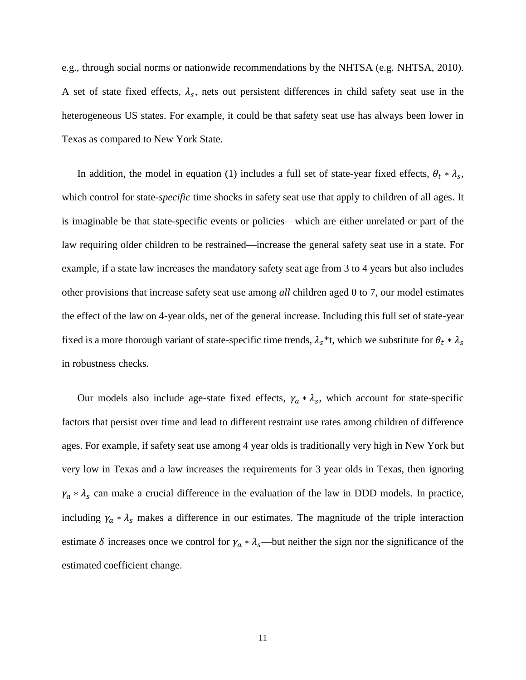e.g., through social norms or nationwide recommendations by the NHTSA (e.g. NHTSA, 2010). A set of state fixed effects,  $\lambda_s$ , nets out persistent differences in child safety seat use in the heterogeneous US states. For example, it could be that safety seat use has always been lower in Texas as compared to New York State.

In addition, the model in equation (1) includes a full set of state-year fixed effects,  $\theta_t * \lambda_s$ , which control for state*-specific* time shocks in safety seat use that apply to children of all ages. It is imaginable be that state-specific events or policies—which are either unrelated or part of the law requiring older children to be restrained—increase the general safety seat use in a state. For example, if a state law increases the mandatory safety seat age from 3 to 4 years but also includes other provisions that increase safety seat use among *all* children aged 0 to 7, our model estimates the effect of the law on 4-year olds, net of the general increase. Including this full set of state-year fixed is a more thorough variant of state-specific time trends,  $\lambda_s$ <sup>\*</sup>t, which we substitute for  $\theta_t * \lambda_s$ in robustness checks.

Our models also include age-state fixed effects,  $\gamma_a * \lambda_s$ , which account for state-specific factors that persist over time and lead to different restraint use rates among children of difference ages. For example, if safety seat use among 4 year olds is traditionally very high in New York but very low in Texas and a law increases the requirements for 3 year olds in Texas, then ignoring  $\gamma_a * \lambda_s$  can make a crucial difference in the evaluation of the law in DDD models. In practice, including  $\gamma_a * \lambda_s$  makes a difference in our estimates. The magnitude of the triple interaction estimate  $\delta$  increases once we control for  $\gamma_a * \lambda_s$ —but neither the sign nor the significance of the estimated coefficient change.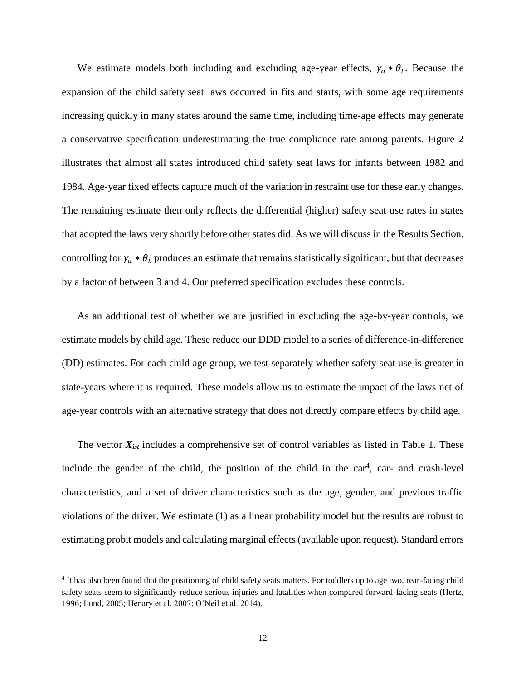We estimate models both including and excluding age-year effects,  $\gamma_a * \theta_t$ . Because the expansion of the child safety seat laws occurred in fits and starts, with some age requirements increasing quickly in many states around the same time, including time-age effects may generate a conservative specification underestimating the true compliance rate among parents. Figure 2 illustrates that almost all states introduced child safety seat laws for infants between 1982 and 1984. Age-year fixed effects capture much of the variation in restraint use for these early changes. The remaining estimate then only reflects the differential (higher) safety seat use rates in states that adopted the laws very shortly before other states did. As we will discuss in the Results Section, controlling for  $\gamma_a * \theta_t$  produces an estimate that remains statistically significant, but that decreases by a factor of between 3 and 4. Our preferred specification excludes these controls.

As an additional test of whether we are justified in excluding the age-by-year controls, we estimate models by child age. These reduce our DDD model to a series of difference-in-difference (DD) estimates. For each child age group, we test separately whether safety seat use is greater in state-years where it is required. These models allow us to estimate the impact of the laws net of age-year controls with an alternative strategy that does not directly compare effects by child age.

The vector *Xist* includes a comprehensive set of control variables as listed in Table 1. These include the gender of the child, the position of the child in the  $car<sup>4</sup>$ , car- and crash-level characteristics, and a set of driver characteristics such as the age, gender, and previous traffic violations of the driver. We estimate (1) as a linear probability model but the results are robust to estimating probit models and calculating marginal effects (available upon request). Standard errors

 $\overline{\phantom{a}}$ 

<sup>4</sup> It has also been found that the positioning of child safety seats matters. For toddlers up to age two, rear-facing child safety seats seem to significantly reduce serious injuries and fatalities when compared forward-facing seats (Hertz, 1996; Lund, 2005; Henary et al. 2007; O'Neil et al. 2014).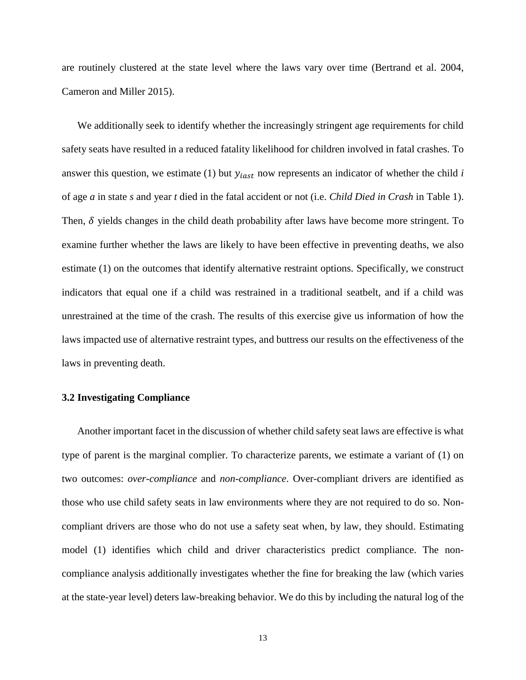are routinely clustered at the state level where the laws vary over time (Bertrand et al. 2004, Cameron and Miller 2015).

We additionally seek to identify whether the increasingly stringent age requirements for child safety seats have resulted in a reduced fatality likelihood for children involved in fatal crashes. To answer this question, we estimate (1) but  $y_{i,est}$  now represents an indicator of whether the child  $i$ of age *a* in state *s* and year *t* died in the fatal accident or not (i.e. *Child Died in Crash* in Table 1). Then,  $\delta$  yields changes in the child death probability after laws have become more stringent. To examine further whether the laws are likely to have been effective in preventing deaths, we also estimate (1) on the outcomes that identify alternative restraint options. Specifically, we construct indicators that equal one if a child was restrained in a traditional seatbelt, and if a child was unrestrained at the time of the crash. The results of this exercise give us information of how the laws impacted use of alternative restraint types, and buttress our results on the effectiveness of the laws in preventing death.

#### **3.2 Investigating Compliance**

Another important facet in the discussion of whether child safety seat laws are effective is what type of parent is the marginal complier. To characterize parents, we estimate a variant of (1) on two outcomes: *over-compliance* and *non-compliance*. Over-compliant drivers are identified as those who use child safety seats in law environments where they are not required to do so. Noncompliant drivers are those who do not use a safety seat when, by law, they should. Estimating model (1) identifies which child and driver characteristics predict compliance. The noncompliance analysis additionally investigates whether the fine for breaking the law (which varies at the state-year level) deters law-breaking behavior. We do this by including the natural log of the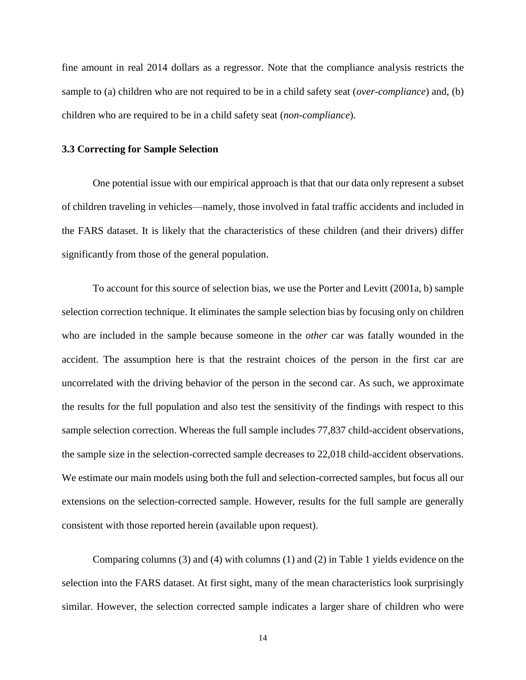fine amount in real 2014 dollars as a regressor. Note that the compliance analysis restricts the sample to (a) children who are not required to be in a child safety seat (*over-compliance*) and, (b) children who are required to be in a child safety seat (*non-compliance*).

#### **3.3 Correcting for Sample Selection**

One potential issue with our empirical approach is that that our data only represent a subset of children traveling in vehicles—namely, those involved in fatal traffic accidents and included in the FARS dataset. It is likely that the characteristics of these children (and their drivers) differ significantly from those of the general population.

To account for this source of selection bias, we use the Porter and Levitt (2001a, b) sample selection correction technique. It eliminates the sample selection bias by focusing only on children who are included in the sample because someone in the *other* car was fatally wounded in the accident. The assumption here is that the restraint choices of the person in the first car are uncorrelated with the driving behavior of the person in the second car. As such, we approximate the results for the full population and also test the sensitivity of the findings with respect to this sample selection correction. Whereas the full sample includes 77,837 child-accident observations, the sample size in the selection-corrected sample decreases to 22,018 child-accident observations. We estimate our main models using both the full and selection-corrected samples, but focus all our extensions on the selection-corrected sample. However, results for the full sample are generally consistent with those reported herein (available upon request).

Comparing columns (3) and (4) with columns (1) and (2) in Table 1 yields evidence on the selection into the FARS dataset. At first sight, many of the mean characteristics look surprisingly similar. However, the selection corrected sample indicates a larger share of children who were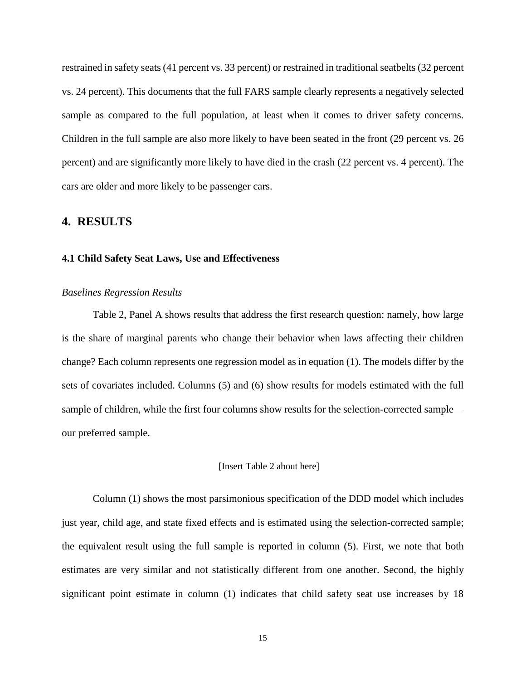restrained in safety seats (41 percent vs. 33 percent) or restrained in traditional seatbelts (32 percent vs. 24 percent). This documents that the full FARS sample clearly represents a negatively selected sample as compared to the full population, at least when it comes to driver safety concerns. Children in the full sample are also more likely to have been seated in the front (29 percent vs. 26 percent) and are significantly more likely to have died in the crash (22 percent vs. 4 percent). The cars are older and more likely to be passenger cars.

#### **4. RESULTS**

#### **4.1 Child Safety Seat Laws, Use and Effectiveness**

#### *Baselines Regression Results*

Table 2, Panel A shows results that address the first research question: namely, how large is the share of marginal parents who change their behavior when laws affecting their children change? Each column represents one regression model as in equation (1). The models differ by the sets of covariates included. Columns (5) and (6) show results for models estimated with the full sample of children, while the first four columns show results for the selection-corrected sample our preferred sample.

#### [Insert Table 2 about here]

Column (1) shows the most parsimonious specification of the DDD model which includes just year, child age, and state fixed effects and is estimated using the selection-corrected sample; the equivalent result using the full sample is reported in column (5). First, we note that both estimates are very similar and not statistically different from one another. Second, the highly significant point estimate in column (1) indicates that child safety seat use increases by 18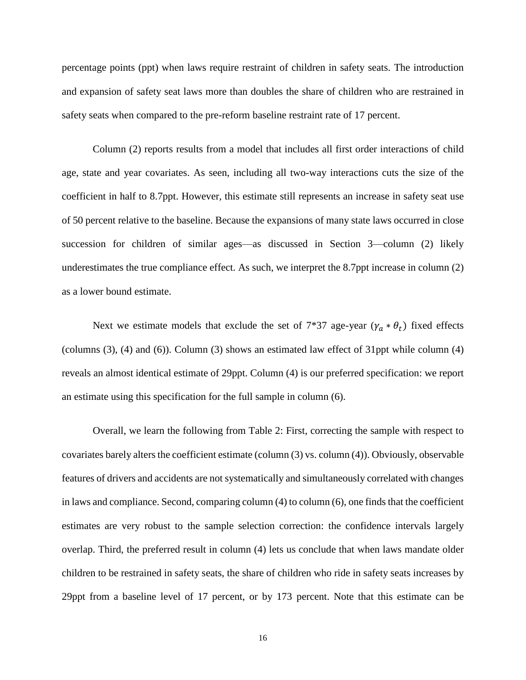percentage points (ppt) when laws require restraint of children in safety seats. The introduction and expansion of safety seat laws more than doubles the share of children who are restrained in safety seats when compared to the pre-reform baseline restraint rate of 17 percent.

Column (2) reports results from a model that includes all first order interactions of child age, state and year covariates. As seen, including all two-way interactions cuts the size of the coefficient in half to 8.7ppt. However, this estimate still represents an increase in safety seat use of 50 percent relative to the baseline. Because the expansions of many state laws occurred in close succession for children of similar ages—as discussed in Section 3—column (2) likely underestimates the true compliance effect. As such, we interpret the 8.7ppt increase in column (2) as a lower bound estimate.

Next we estimate models that exclude the set of  $7*37$  age-year  $(\gamma_a * \theta_t)$  fixed effects (columns (3), (4) and (6)). Column (3) shows an estimated law effect of 31ppt while column (4) reveals an almost identical estimate of 29ppt. Column (4) is our preferred specification: we report an estimate using this specification for the full sample in column (6).

Overall, we learn the following from Table 2: First, correcting the sample with respect to covariates barely alters the coefficient estimate (column (3) vs. column (4)). Obviously, observable features of drivers and accidents are not systematically and simultaneously correlated with changes in laws and compliance. Second, comparing column (4) to column (6), one finds that the coefficient estimates are very robust to the sample selection correction: the confidence intervals largely overlap. Third, the preferred result in column (4) lets us conclude that when laws mandate older children to be restrained in safety seats, the share of children who ride in safety seats increases by 29ppt from a baseline level of 17 percent, or by 173 percent. Note that this estimate can be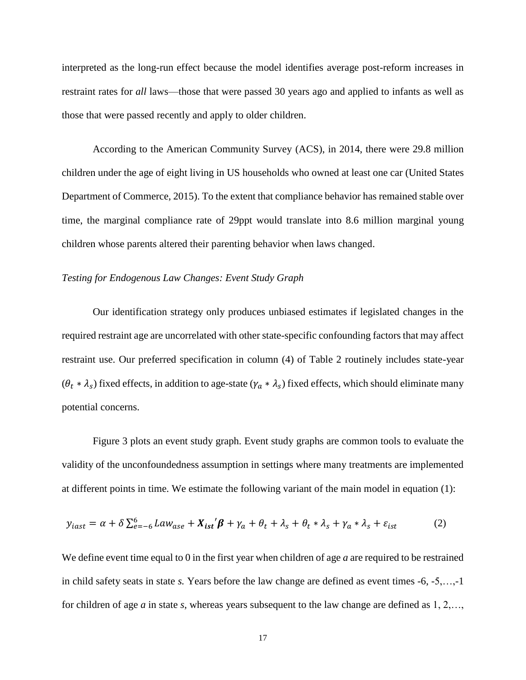interpreted as the long-run effect because the model identifies average post-reform increases in restraint rates for *all* laws—those that were passed 30 years ago and applied to infants as well as those that were passed recently and apply to older children.

According to the American Community Survey (ACS), in 2014, there were 29.8 million children under the age of eight living in US households who owned at least one car (United States Department of Commerce, 2015). To the extent that compliance behavior has remained stable over time, the marginal compliance rate of 29ppt would translate into 8.6 million marginal young children whose parents altered their parenting behavior when laws changed.

#### *Testing for Endogenous Law Changes: Event Study Graph*

Our identification strategy only produces unbiased estimates if legislated changes in the required restraint age are uncorrelated with other state-specific confounding factors that may affect restraint use. Our preferred specification in column (4) of Table 2 routinely includes state-year  $(\theta_t * \lambda_s)$  fixed effects, in addition to age-state  $(\gamma_a * \lambda_s)$  fixed effects, which should eliminate many potential concerns.

Figure 3 plots an event study graph. Event study graphs are common tools to evaluate the validity of the unconfoundedness assumption in settings where many treatments are implemented at different points in time. We estimate the following variant of the main model in equation (1):

$$
y_{iast} = \alpha + \delta \sum_{e=-6}^{6} Law_{ase} + X_{ist}'\beta + \gamma_a + \theta_t + \lambda_s + \theta_t * \lambda_s + \gamma_a * \lambda_s + \varepsilon_{ist}
$$
 (2)

We define event time equal to 0 in the first year when children of age *a* are required to be restrained in child safety seats in state *s.* Years before the law change are defined as event times -6, -5,…,-1 for children of age *a* in state *s*, whereas years subsequent to the law change are defined as 1, 2,…,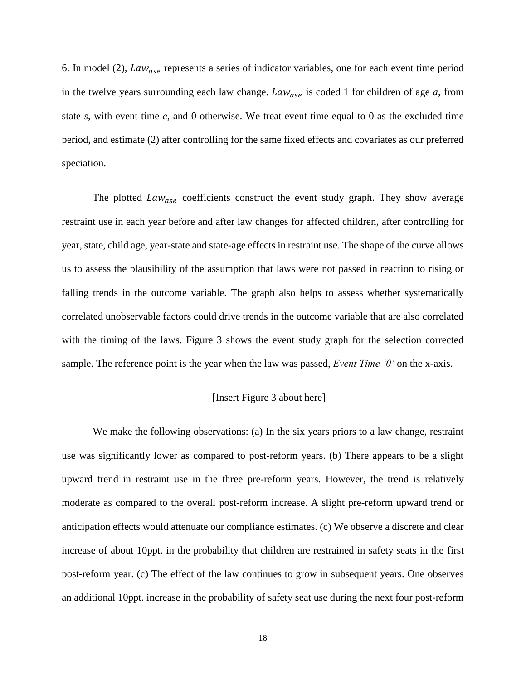6. In model (2),  $Law_{\text{ase}}$  represents a series of indicator variables, one for each event time period in the twelve years surrounding each law change.  $Law_{ase}$  is coded 1 for children of age  $a$ , from state *s*, with event time *e*, and 0 otherwise. We treat event time equal to 0 as the excluded time period, and estimate (2) after controlling for the same fixed effects and covariates as our preferred speciation.

The plotted  $Law_{\text{ase}}$  coefficients construct the event study graph. They show average restraint use in each year before and after law changes for affected children, after controlling for year, state, child age, year-state and state-age effects in restraint use. The shape of the curve allows us to assess the plausibility of the assumption that laws were not passed in reaction to rising or falling trends in the outcome variable. The graph also helps to assess whether systematically correlated unobservable factors could drive trends in the outcome variable that are also correlated with the timing of the laws. Figure 3 shows the event study graph for the selection corrected sample. The reference point is the year when the law was passed, *Event Time '0'* on the x-axis.

#### [Insert Figure 3 about here]

We make the following observations: (a) In the six years priors to a law change, restraint use was significantly lower as compared to post-reform years. (b) There appears to be a slight upward trend in restraint use in the three pre-reform years. However, the trend is relatively moderate as compared to the overall post-reform increase. A slight pre-reform upward trend or anticipation effects would attenuate our compliance estimates. (c) We observe a discrete and clear increase of about 10ppt. in the probability that children are restrained in safety seats in the first post-reform year. (c) The effect of the law continues to grow in subsequent years. One observes an additional 10ppt. increase in the probability of safety seat use during the next four post-reform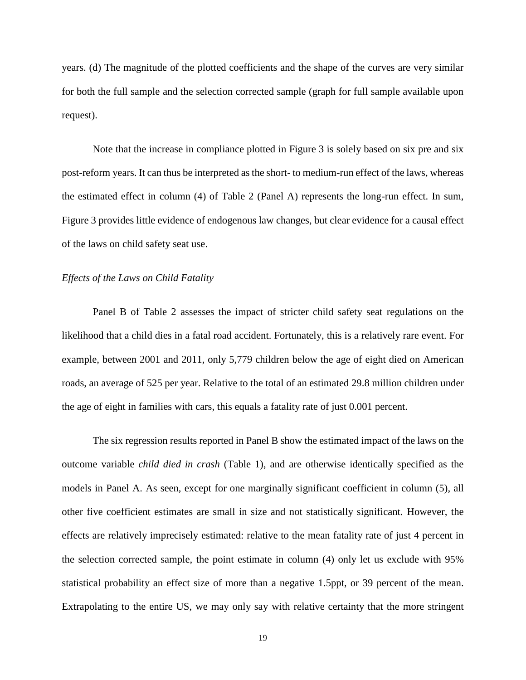years. (d) The magnitude of the plotted coefficients and the shape of the curves are very similar for both the full sample and the selection corrected sample (graph for full sample available upon request).

Note that the increase in compliance plotted in Figure 3 is solely based on six pre and six post-reform years. It can thus be interpreted as the short- to medium-run effect of the laws, whereas the estimated effect in column (4) of Table 2 (Panel A) represents the long-run effect. In sum, Figure 3 provides little evidence of endogenous law changes, but clear evidence for a causal effect of the laws on child safety seat use.

#### *Effects of the Laws on Child Fatality*

Panel B of Table 2 assesses the impact of stricter child safety seat regulations on the likelihood that a child dies in a fatal road accident. Fortunately, this is a relatively rare event. For example, between 2001 and 2011, only 5,779 children below the age of eight died on American roads, an average of 525 per year. Relative to the total of an estimated 29.8 million children under the age of eight in families with cars, this equals a fatality rate of just 0.001 percent.

The six regression results reported in Panel B show the estimated impact of the laws on the outcome variable *child died in crash* (Table 1), and are otherwise identically specified as the models in Panel A. As seen, except for one marginally significant coefficient in column (5), all other five coefficient estimates are small in size and not statistically significant. However, the effects are relatively imprecisely estimated: relative to the mean fatality rate of just 4 percent in the selection corrected sample, the point estimate in column (4) only let us exclude with 95% statistical probability an effect size of more than a negative 1.5ppt, or 39 percent of the mean. Extrapolating to the entire US, we may only say with relative certainty that the more stringent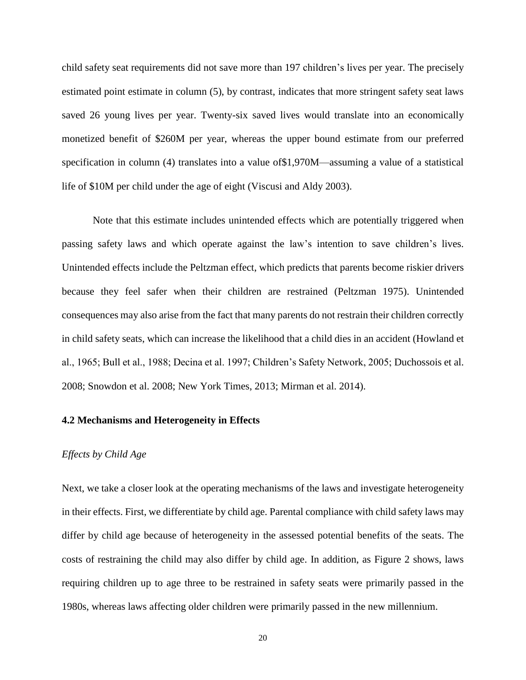child safety seat requirements did not save more than 197 children's lives per year. The precisely estimated point estimate in column (5), by contrast, indicates that more stringent safety seat laws saved 26 young lives per year. Twenty-six saved lives would translate into an economically monetized benefit of \$260M per year, whereas the upper bound estimate from our preferred specification in column (4) translates into a value of\$1,970M—assuming a value of a statistical life of \$10M per child under the age of eight (Viscusi and Aldy 2003).

Note that this estimate includes unintended effects which are potentially triggered when passing safety laws and which operate against the law's intention to save children's lives. Unintended effects include the Peltzman effect, which predicts that parents become riskier drivers because they feel safer when their children are restrained (Peltzman 1975). Unintended consequences may also arise from the fact that many parents do not restrain their children correctly in child safety seats, which can increase the likelihood that a child dies in an accident (Howland et al., 1965; Bull et al., 1988; Decina et al. 1997; Children's Safety Network, 2005; Duchossois et al. 2008; Snowdon et al. 2008; New York Times, 2013; Mirman et al. 2014).

#### **4.2 Mechanisms and Heterogeneity in Effects**

#### *Effects by Child Age*

Next, we take a closer look at the operating mechanisms of the laws and investigate heterogeneity in their effects. First, we differentiate by child age. Parental compliance with child safety laws may differ by child age because of heterogeneity in the assessed potential benefits of the seats. The costs of restraining the child may also differ by child age. In addition, as Figure 2 shows, laws requiring children up to age three to be restrained in safety seats were primarily passed in the 1980s, whereas laws affecting older children were primarily passed in the new millennium.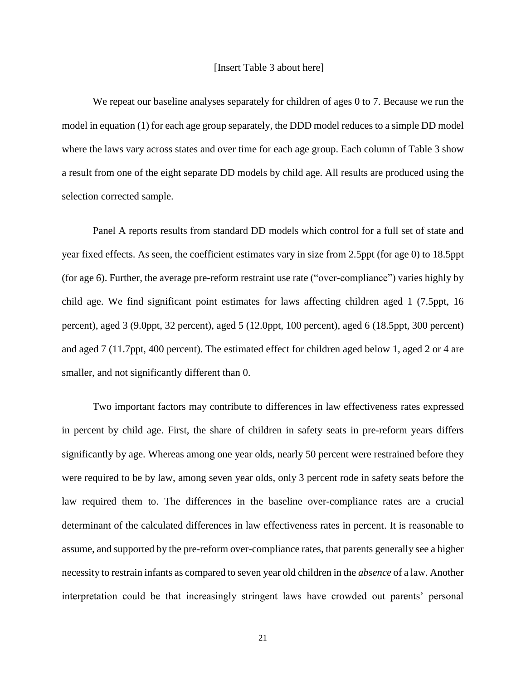We repeat our baseline analyses separately for children of ages 0 to 7. Because we run the model in equation (1) for each age group separately, the DDD model reduces to a simple DD model where the laws vary across states and over time for each age group. Each column of Table 3 show a result from one of the eight separate DD models by child age. All results are produced using the selection corrected sample.

Panel A reports results from standard DD models which control for a full set of state and year fixed effects. As seen, the coefficient estimates vary in size from 2.5ppt (for age 0) to 18.5ppt (for age 6). Further, the average pre-reform restraint use rate ("over-compliance") varies highly by child age. We find significant point estimates for laws affecting children aged 1 (7.5ppt, 16 percent), aged 3 (9.0ppt, 32 percent), aged 5 (12.0ppt, 100 percent), aged 6 (18.5ppt, 300 percent) and aged 7 (11.7ppt, 400 percent). The estimated effect for children aged below 1, aged 2 or 4 are smaller, and not significantly different than 0.

Two important factors may contribute to differences in law effectiveness rates expressed in percent by child age. First, the share of children in safety seats in pre-reform years differs significantly by age. Whereas among one year olds, nearly 50 percent were restrained before they were required to be by law, among seven year olds, only 3 percent rode in safety seats before the law required them to. The differences in the baseline over-compliance rates are a crucial determinant of the calculated differences in law effectiveness rates in percent. It is reasonable to assume, and supported by the pre-reform over-compliance rates, that parents generally see a higher necessity to restrain infants as compared to seven year old children in the *absence* of a law. Another interpretation could be that increasingly stringent laws have crowded out parents' personal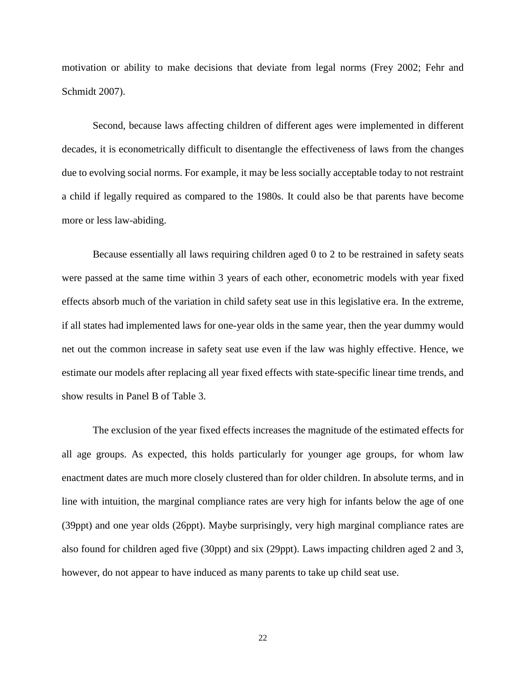motivation or ability to make decisions that deviate from legal norms (Frey 2002; Fehr and Schmidt 2007).

Second, because laws affecting children of different ages were implemented in different decades, it is econometrically difficult to disentangle the effectiveness of laws from the changes due to evolving social norms. For example, it may be less socially acceptable today to not restraint a child if legally required as compared to the 1980s. It could also be that parents have become more or less law-abiding.

Because essentially all laws requiring children aged 0 to 2 to be restrained in safety seats were passed at the same time within 3 years of each other, econometric models with year fixed effects absorb much of the variation in child safety seat use in this legislative era. In the extreme, if all states had implemented laws for one-year olds in the same year, then the year dummy would net out the common increase in safety seat use even if the law was highly effective. Hence, we estimate our models after replacing all year fixed effects with state-specific linear time trends, and show results in Panel B of Table 3.

The exclusion of the year fixed effects increases the magnitude of the estimated effects for all age groups. As expected, this holds particularly for younger age groups, for whom law enactment dates are much more closely clustered than for older children. In absolute terms, and in line with intuition, the marginal compliance rates are very high for infants below the age of one (39ppt) and one year olds (26ppt). Maybe surprisingly, very high marginal compliance rates are also found for children aged five (30ppt) and six (29ppt). Laws impacting children aged 2 and 3, however, do not appear to have induced as many parents to take up child seat use.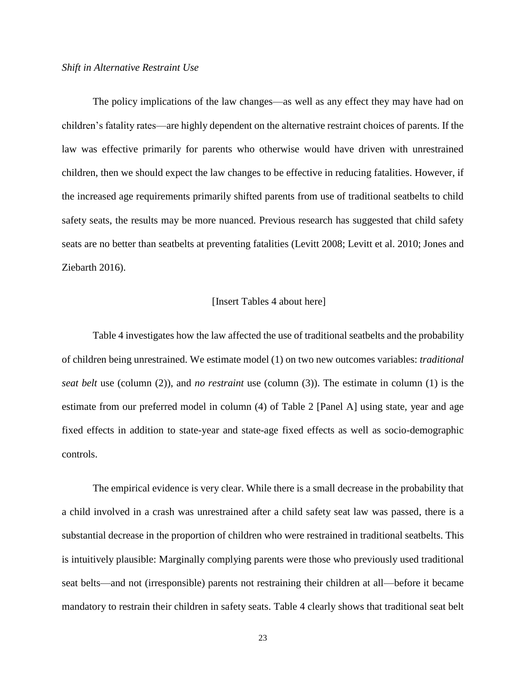#### *Shift in Alternative Restraint Use*

The policy implications of the law changes—as well as any effect they may have had on children's fatality rates—are highly dependent on the alternative restraint choices of parents. If the law was effective primarily for parents who otherwise would have driven with unrestrained children, then we should expect the law changes to be effective in reducing fatalities. However, if the increased age requirements primarily shifted parents from use of traditional seatbelts to child safety seats, the results may be more nuanced. Previous research has suggested that child safety seats are no better than seatbelts at preventing fatalities (Levitt 2008; Levitt et al. 2010; Jones and Ziebarth 2016).

#### [Insert Tables 4 about here]

Table 4 investigates how the law affected the use of traditional seatbelts and the probability of children being unrestrained. We estimate model (1) on two new outcomes variables: *traditional seat belt* use (column (2)), and *no restraint* use (column (3)). The estimate in column (1) is the estimate from our preferred model in column (4) of Table 2 [Panel A] using state, year and age fixed effects in addition to state-year and state-age fixed effects as well as socio-demographic controls.

The empirical evidence is very clear. While there is a small decrease in the probability that a child involved in a crash was unrestrained after a child safety seat law was passed, there is a substantial decrease in the proportion of children who were restrained in traditional seatbelts. This is intuitively plausible: Marginally complying parents were those who previously used traditional seat belts—and not (irresponsible) parents not restraining their children at all—before it became mandatory to restrain their children in safety seats. Table 4 clearly shows that traditional seat belt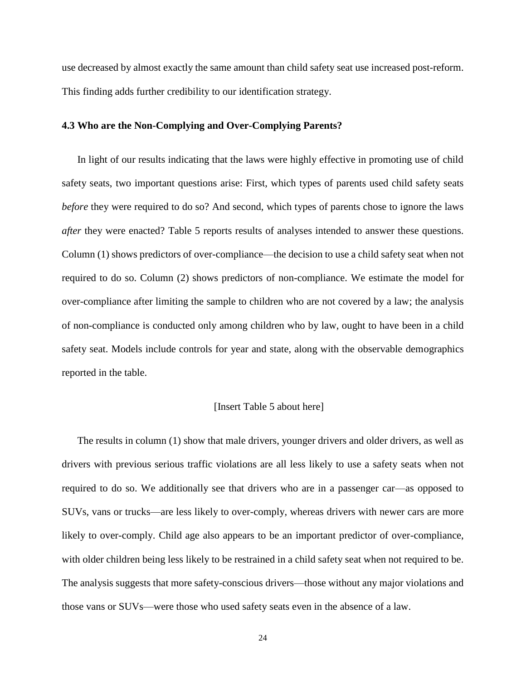use decreased by almost exactly the same amount than child safety seat use increased post-reform. This finding adds further credibility to our identification strategy.

#### **4.3 Who are the Non-Complying and Over-Complying Parents?**

In light of our results indicating that the laws were highly effective in promoting use of child safety seats, two important questions arise: First, which types of parents used child safety seats *before* they were required to do so? And second, which types of parents chose to ignore the laws *after they were enacted?* Table 5 reports results of analyses intended to answer these questions. Column (1) shows predictors of over-compliance—the decision to use a child safety seat when not required to do so. Column (2) shows predictors of non-compliance. We estimate the model for over-compliance after limiting the sample to children who are not covered by a law; the analysis of non-compliance is conducted only among children who by law, ought to have been in a child safety seat. Models include controls for year and state, along with the observable demographics reported in the table.

#### [Insert Table 5 about here]

The results in column (1) show that male drivers, younger drivers and older drivers, as well as drivers with previous serious traffic violations are all less likely to use a safety seats when not required to do so. We additionally see that drivers who are in a passenger car—as opposed to SUVs, vans or trucks—are less likely to over-comply, whereas drivers with newer cars are more likely to over-comply. Child age also appears to be an important predictor of over-compliance, with older children being less likely to be restrained in a child safety seat when not required to be. The analysis suggests that more safety-conscious drivers—those without any major violations and those vans or SUVs—were those who used safety seats even in the absence of a law.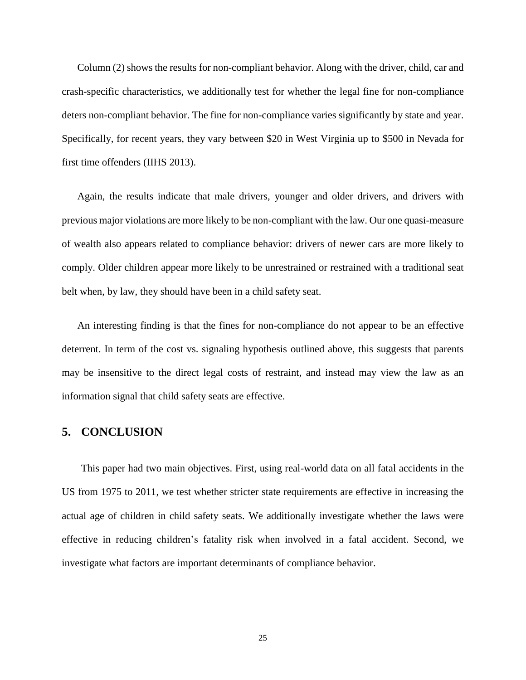Column (2) shows the results for non-compliant behavior. Along with the driver, child, car and crash-specific characteristics, we additionally test for whether the legal fine for non-compliance deters non-compliant behavior. The fine for non-compliance varies significantly by state and year. Specifically, for recent years, they vary between \$20 in West Virginia up to \$500 in Nevada for first time offenders (IIHS 2013).

Again, the results indicate that male drivers, younger and older drivers, and drivers with previous major violations are more likely to be non-compliant with the law. Our one quasi-measure of wealth also appears related to compliance behavior: drivers of newer cars are more likely to comply. Older children appear more likely to be unrestrained or restrained with a traditional seat belt when, by law, they should have been in a child safety seat.

An interesting finding is that the fines for non-compliance do not appear to be an effective deterrent. In term of the cost vs. signaling hypothesis outlined above, this suggests that parents may be insensitive to the direct legal costs of restraint, and instead may view the law as an information signal that child safety seats are effective.

#### **5. CONCLUSION**

This paper had two main objectives. First, using real-world data on all fatal accidents in the US from 1975 to 2011, we test whether stricter state requirements are effective in increasing the actual age of children in child safety seats. We additionally investigate whether the laws were effective in reducing children's fatality risk when involved in a fatal accident. Second, we investigate what factors are important determinants of compliance behavior.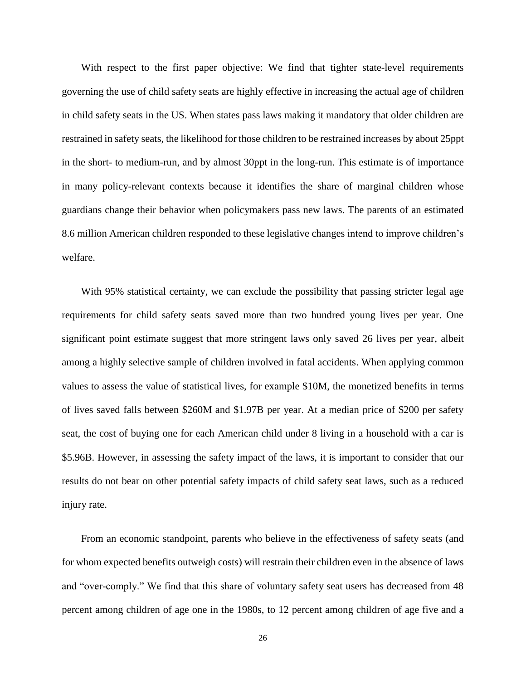With respect to the first paper objective: We find that tighter state-level requirements governing the use of child safety seats are highly effective in increasing the actual age of children in child safety seats in the US. When states pass laws making it mandatory that older children are restrained in safety seats, the likelihood for those children to be restrained increases by about 25ppt in the short- to medium-run, and by almost 30ppt in the long-run. This estimate is of importance in many policy-relevant contexts because it identifies the share of marginal children whose guardians change their behavior when policymakers pass new laws. The parents of an estimated 8.6 million American children responded to these legislative changes intend to improve children's welfare.

With 95% statistical certainty, we can exclude the possibility that passing stricter legal age requirements for child safety seats saved more than two hundred young lives per year. One significant point estimate suggest that more stringent laws only saved 26 lives per year, albeit among a highly selective sample of children involved in fatal accidents. When applying common values to assess the value of statistical lives, for example \$10M, the monetized benefits in terms of lives saved falls between \$260M and \$1.97B per year. At a median price of \$200 per safety seat, the cost of buying one for each American child under 8 living in a household with a car is \$5.96B. However, in assessing the safety impact of the laws, it is important to consider that our results do not bear on other potential safety impacts of child safety seat laws, such as a reduced injury rate.

From an economic standpoint, parents who believe in the effectiveness of safety seats (and for whom expected benefits outweigh costs) will restrain their children even in the absence of laws and "over-comply." We find that this share of voluntary safety seat users has decreased from 48 percent among children of age one in the 1980s, to 12 percent among children of age five and a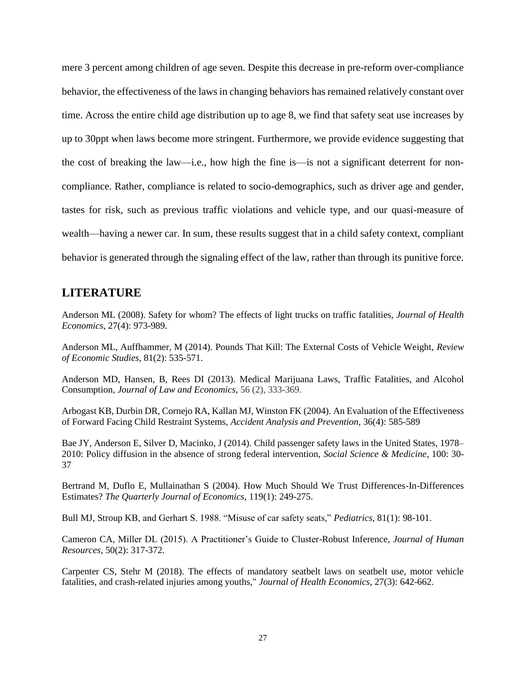mere 3 percent among children of age seven. Despite this decrease in pre-reform over-compliance behavior, the effectiveness of the laws in changing behaviors has remained relatively constant over time. Across the entire child age distribution up to age 8, we find that safety seat use increases by up to 30ppt when laws become more stringent. Furthermore, we provide evidence suggesting that the cost of breaking the law—i.e., how high the fine is—is not a significant deterrent for noncompliance. Rather, compliance is related to socio-demographics, such as driver age and gender, tastes for risk, such as previous traffic violations and vehicle type, and our quasi-measure of wealth—having a newer car. In sum, these results suggest that in a child safety context, compliant behavior is generated through the signaling effect of the law, rather than through its punitive force.

### **LITERATURE**

Anderson ML (2008). Safety for whom? The effects of light trucks on traffic fatalities, *Journal of Health Economics*, 27(4): 973-989.

Anderson ML, Auffhammer, M (2014). Pounds That Kill: The External Costs of Vehicle Weight, *Review of Economic Studies*, 81(2): 535-571.

Anderson MD, Hansen, B, Rees DI (2013). Medical Marijuana Laws, Traffic Fatalities, and Alcohol Consumption, *Journal of Law and Economics*, 56 (2), 333-369.

Arbogast KB, Durbin DR, Cornejo RA, Kallan MJ, Winston FK (2004). An Evaluation of the Effectiveness of Forward Facing Child Restraint Systems, *Accident Analysis and Prevention,* 36(4): 585-589

Bae JY, Anderson E, Silver D, Macinko, J (2014). Child passenger safety laws in the United States, 1978– 2010: Policy diffusion in the absence of strong federal intervention, *Social Science & Medicine*, 100: 30- 37

Bertrand M, Duflo E, Mullainathan S (2004). How Much Should We Trust Differences-In-Differences Estimates? *The Quarterly Journal of Economics*, 119(1): 249-275.

Bull MJ, Stroup KB, and Gerhart S. 1988. "Misuse of car safety seats," *Pediatrics*, 81(1): 98-101.

Cameron CA, Miller DL (2015). A Practitioner's Guide to Cluster-Robust Inference, *Journal of Human Resources*, 50(2): 317-372.

Carpenter CS, Stehr M (2018). The effects of mandatory seatbelt laws on seatbelt use, motor vehicle fatalities, and crash-related injuries among youths," *Journal of Health Economics*, 27(3): 642-662.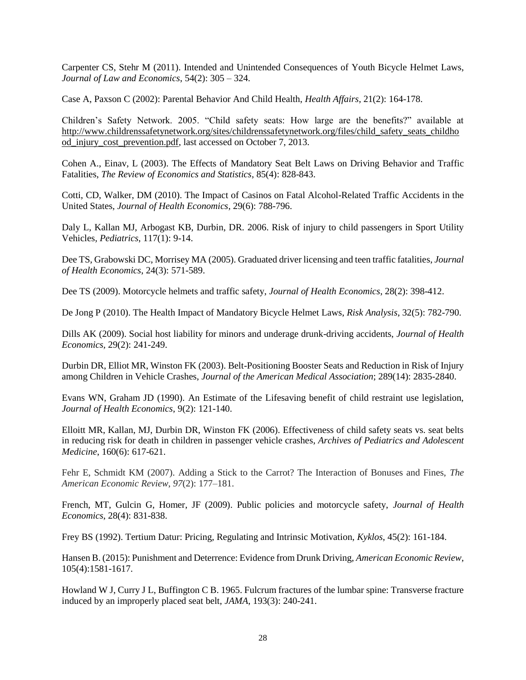Carpenter CS, Stehr M (2011). Intended and Unintended Consequences of Youth Bicycle Helmet Laws, *Journal of Law and Economics*, 54(2): 305 – 324.

Case A, Paxson C (2002): Parental Behavior And Child Health, *Health Affairs*, 21(2): 164-178.

Children's Safety Network. 2005. "Child safety seats: How large are the benefits?" available at [http://www.childrenssafetynetwork.org/sites/childrenssafetynetwork.org/files/child\\_safety\\_seats\\_childho](http://www.childrenssafetynetwork.org/sites/childrenssafetynetwork.org/files/child_safety_seats_childhood_injury_cost_prevention.pdf) [od\\_injury\\_cost\\_prevention.pdf,](http://www.childrenssafetynetwork.org/sites/childrenssafetynetwork.org/files/child_safety_seats_childhood_injury_cost_prevention.pdf) last accessed on October 7, 2013.

Cohen A., Einav, L (2003). The Effects of Mandatory Seat Belt Laws on Driving Behavior and Traffic Fatalities, *The Review of Economics and Statistics*, 85(4): 828-843.

Cotti, CD, Walker, DM (2010). The Impact of Casinos on Fatal Alcohol-Related Traffic Accidents in the United States, *Journal of Health Economics*, 29(6): 788-796.

Daly L, Kallan MJ, Arbogast KB, Durbin, DR. 2006. Risk of injury to child passengers in Sport Utility Vehicles*, Pediatrics*, 117(1): 9-14.

Dee TS, Grabowski DC, Morrisey MA (2005). Graduated driver licensing and teen traffic fatalities, *Journal of Health Economics*, 24(3): 571-589.

Dee TS (2009). Motorcycle helmets and traffic safety, *Journal of Health Economics*, 28(2): 398-412.

De Jong P (2010). The Health Impact of Mandatory Bicycle Helmet Laws, *Risk Analysis*, 32(5): 782-790.

Dills AK (2009). Social host liability for minors and underage drunk-driving accidents, *Journal of Health Economics,* 29(2): 241-249.

Durbin DR, Elliot MR, Winston FK (2003). Belt-Positioning Booster Seats and Reduction in Risk of Injury among Children in Vehicle Crashes, *Journal of the American Medical Association*; 289(14): 2835-2840.

Evans WN, Graham JD (1990). An Estimate of the Lifesaving benefit of child restraint use legislation, *Journal of Health Economics*, 9(2): 121-140.

Elloitt MR, Kallan, MJ, Durbin DR, Winston FK (2006). Effectiveness of child safety seats vs. seat belts in reducing risk for death in children in passenger vehicle crashes, *Archives of Pediatrics and Adolescent Medicine*, 160(6): 617-621.

Fehr E, Schmidt KM (2007). Adding a Stick to the Carrot? The Interaction of Bonuses and Fines, *The American Economic Review*, *97*(2): 177–181.

French, MT, Gulcin G, Homer, JF (2009). Public policies and motorcycle safety, *Journal of Health Economics*, 28(4): 831-838.

Frey BS (1992). Tertium Datur: Pricing, Regulating and Intrinsic Motivation, *Kyklos*, 45(2): 161-184.

Hansen B. (2015): Punishment and Deterrence: Evidence from Drunk Driving, *American Economic Review*, 105(4):1581-1617.

Howland W J, Curry J L, Buffington C B. 1965. Fulcrum fractures of the lumbar spine: Transverse fracture induced by an improperly placed seat belt, *JAMA*, 193(3): 240-241.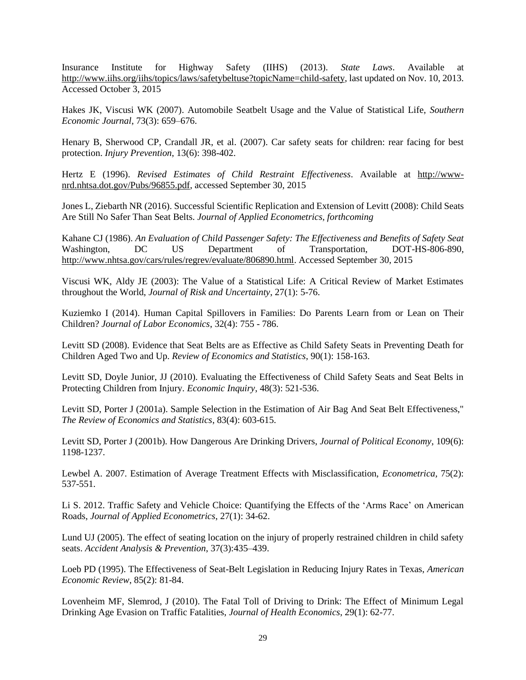Insurance Institute for Highway Safety (IIHS) (2013). *State Laws*. Available at [http://www.iihs.org/iihs/topics/laws/safetybeltuse?topicName=child-safety,](http://www.iihs.org/iihs/topics/laws/safetybeltuse?topicName=child-safety) last updated on Nov. 10, 2013. Accessed October 3, 2015

Hakes JK, Viscusi WK (2007). Automobile Seatbelt Usage and the Value of Statistical Life, *Southern Economic Journal*, 73(3): 659–676.

Henary B, Sherwood CP, Crandall JR, et al. (2007). Car safety seats for children: rear facing for best protection. *Injury Prevention*, 13(6): 398-402.

Hertz E (1996). *Revised Estimates of Child Restraint Effectiveness*. Available at [http://www](http://www-nrd.nhtsa.dot.gov/Pubs/96855.pdf)[nrd.nhtsa.dot.gov/Pubs/96855.pdf,](http://www-nrd.nhtsa.dot.gov/Pubs/96855.pdf) accessed September 30, 2015

Jones L, Ziebarth NR (2016)[. Successful Scientific Replication and Extension of Levitt \(2008\):](http://onlinelibrary.wiley.com/doi/10.1002/jae.2449/abstract) Child Seats [Are Still No Safer Than Seat Belts.](http://onlinelibrary.wiley.com/doi/10.1002/jae.2449/abstract) *Journal of Applied Econometrics, forthcoming*

Kahane CJ (1986). *An Evaluation of Child Passenger Safety: The Effectiveness and Benefits of Safety Seat* Washington, DC US Department of Transportation, DOT-HS-806-890, [http://www.nhtsa.gov/cars/rules/regrev/evaluate/806890.html.](http://www.nhtsa.gov/cars/rules/regrev/evaluate/806890.html) Accessed September 30, 2015

Viscusi WK, Aldy JE (2003): The Value of a Statistical Life: A Critical Review of Market Estimates throughout the World, *Journal of Risk and Uncertainty*, 27(1): 5-76.

Kuziemko I (2014). Human Capital Spillovers in Families: Do Parents Learn from or Lean on Their Children? *Journal of Labor Economics*, 32(4): 755 - 786.

Levitt SD (2008). Evidence that Seat Belts are as Effective as Child Safety Seats in Preventing Death for Children Aged Two and Up. *Review of Economics and Statistics*, 90(1): 158-163.

Levitt SD, Doyle Junior, JJ (2010). Evaluating the Effectiveness of Child Safety Seats and Seat Belts in Protecting Children from Injury. *Economic Inquiry*, 48(3): 521-536.

Levitt SD, Porter J (2001a). Sample Selection in the Estimation of Air Bag And Seat Belt Effectiveness," *The Review of Economics and Statistics*, 83(4): 603-615.

Levitt SD, Porter J (2001b). How Dangerous Are Drinking Drivers, *Journal of Political Economy*, 109(6): 1198-1237.

Lewbel A. 2007. Estimation of Average Treatment Effects with Misclassification, *Econometrica,* 75(2): 537-551.

Li S. 2012. Traffic Safety and Vehicle Choice: Quantifying the Effects of the 'Arms Race' on American Roads, *Journal of Applied Econometrics*, 27(1): 34-62.

Lund UJ (2005). The effect of seating location on the injury of properly restrained children in child safety seats. *Accident Analysis & Prevention*, 37(3):435–439.

Loeb PD (1995). The Effectiveness of Seat-Belt Legislation in Reducing Injury Rates in Texas, *American Economic Review*, 85(2): 81-84.

Lovenheim MF, Slemrod, J (2010). The Fatal Toll of Driving to Drink: The Effect of Minimum Legal Drinking Age Evasion on Traffic Fatalities, *Journal of Health Economics*, 29(1): 62-77.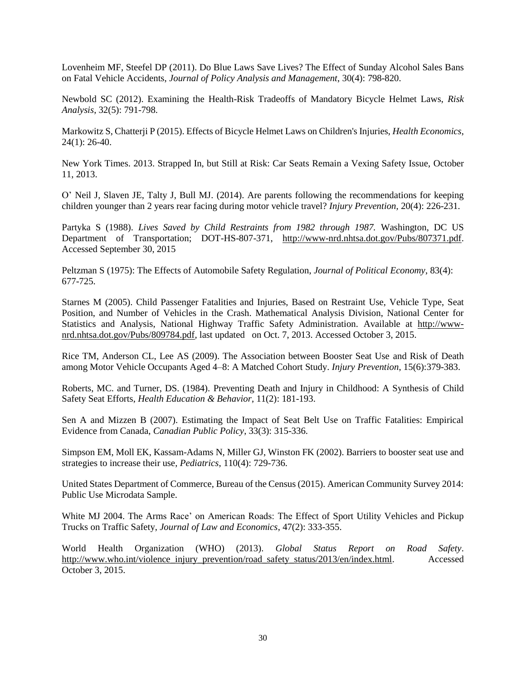Lovenheim MF, Steefel DP (2011). Do Blue Laws Save Lives? The Effect of Sunday Alcohol Sales Bans on Fatal Vehicle Accidents, *Journal of Policy Analysis and Management*, 30(4): 798-820.

Newbold SC (2012). Examining the Health-Risk Tradeoffs of Mandatory Bicycle Helmet Laws, *Risk Analysis*, 32(5): 791-798.

Markowitz S, Chatterji P (2015). Effects of Bicycle Helmet Laws on Children's Injuries, *Health Economics*, 24(1): 26-40.

New York Times. 2013. Strapped In, but Still at Risk: Car Seats Remain a Vexing Safety Issue, October 11, 2013.

O' Neil J, Slaven JE, Talty J, Bull MJ. (2014). Are parents following the recommendations for keeping children younger than 2 years rear facing during motor vehicle travel? *Injury Prevention,* 20(4): 226-231.

Partyka S (1988). *Lives Saved by Child Restraints from 1982 through 1987.* Washington, DC US Department of Transportation; DOT-HS-807-371, [http://www-nrd.nhtsa.dot.gov/Pubs/807371.pdf.](http://www-nrd.nhtsa.dot.gov/Pubs/807371.pdf) Accessed September 30, 2015

Peltzman S (1975): The Effects of Automobile Safety Regulation, *Journal of Political Economy*, 83(4): 677-725.

Starnes M (2005). Child Passenger Fatalities and Injuries, Based on Restraint Use, Vehicle Type, Seat Position, and Number of Vehicles in the Crash. Mathematical Analysis Division, National Center for Statistics and Analysis, National Highway Traffic Safety Administration. Available at [http://www](http://www-nrd.nhtsa.dot.gov/Pubs/809784.pdf)[nrd.nhtsa.dot.gov/Pubs/809784.pdf,](http://www-nrd.nhtsa.dot.gov/Pubs/809784.pdf) last updated on Oct. 7, 2013. Accessed October 3, 2015.

Rice TM, Anderson CL, Lee AS (2009). The Association between Booster Seat Use and Risk of Death among Motor Vehicle Occupants Aged 4–8: A Matched Cohort Study. *Injury Prevention*, 15(6):379-383.

Roberts, MC. and Turner, DS. (1984). Preventing Death and Injury in Childhood: A Synthesis of Child Safety Seat Efforts, *Health Education & Behavior*, 11(2): 181-193.

Sen A and Mizzen B (2007). Estimating the Impact of Seat Belt Use on Traffic Fatalities: Empirical Evidence from Canada, *Canadian Public Policy*, 33(3): 315-336.

Simpson EM, Moll EK, Kassam-Adams N, Miller GJ, Winston FK (2002). Barriers to booster seat use and strategies to increase their use, *Pediatrics*, 110(4): 729-736.

United States Department of Commerce, Bureau of the Census (2015). American Community Survey 2014: Public Use Microdata Sample.

White MJ 2004. The Arms Race' on American Roads: The Effect of Sport Utility Vehicles and Pickup Trucks on Traffic Safety, *Journal of Law and Economics*, 47(2): 333-355.

World Health Organization (WHO) (2013). *Global Status Report on Road Safety*. [http://www.who.int/violence\\_injury\\_prevention/road\\_safety\\_status/2013/en/index.html.](http://www.who.int/violence_injury_prevention/road_safety_status/2013/en/index.html) Accessed October 3, 2015.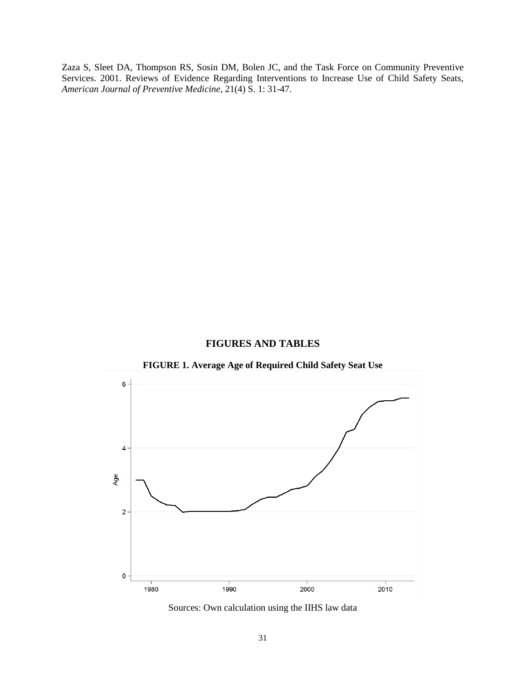Zaza S, Sleet DA, Thompson RS, Sosin DM, Bolen JC, and the Task Force on Community Preventive Services. 2001. Reviews of Evidence Regarding Interventions to Increase Use of Child Safety Seats, *American Journal of Preventive Medicine*, 21(4) S. 1: 31-47.

#### **FIGURES AND TABLES**



**FIGURE 1. Average Age of Required Child Safety Seat Use**

Sources: Own calculation using the IIHS law data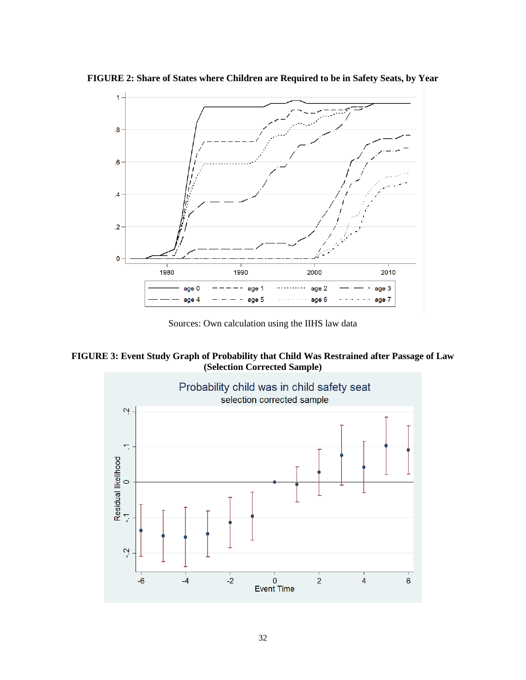**FIGURE 2: Share of States where Children are Required to be in Safety Seats, by Year** 



Sources: Own calculation using the IIHS law data

**FIGURE 3: Event Study Graph of Probability that Child Was Restrained after Passage of Law (Selection Corrected Sample)**

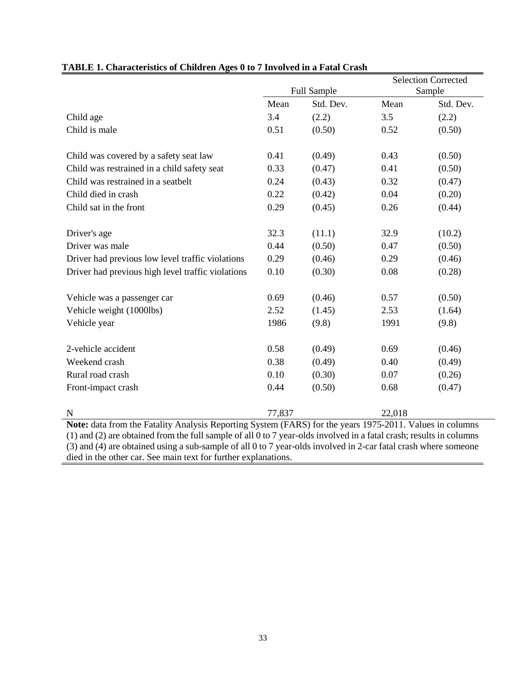|                                                                                                                                                                                                                                        |             |           | <b>Selection Corrected</b> |           |  |
|----------------------------------------------------------------------------------------------------------------------------------------------------------------------------------------------------------------------------------------|-------------|-----------|----------------------------|-----------|--|
|                                                                                                                                                                                                                                        | Full Sample |           | Sample                     |           |  |
|                                                                                                                                                                                                                                        | Mean        | Std. Dev. | Mean                       | Std. Dev. |  |
| Child age                                                                                                                                                                                                                              | 3.4         | (2.2)     | 3.5                        | (2.2)     |  |
| Child is male                                                                                                                                                                                                                          | 0.51        | (0.50)    | 0.52                       | (0.50)    |  |
|                                                                                                                                                                                                                                        |             |           |                            |           |  |
| Child was covered by a safety seat law                                                                                                                                                                                                 | 0.41        | (0.49)    | 0.43                       | (0.50)    |  |
| Child was restrained in a child safety seat                                                                                                                                                                                            | 0.33        | (0.47)    | 0.41                       | (0.50)    |  |
| Child was restrained in a seatbelt                                                                                                                                                                                                     | 0.24        | (0.43)    | 0.32                       | (0.47)    |  |
| Child died in crash                                                                                                                                                                                                                    | 0.22        | (0.42)    | 0.04                       | (0.20)    |  |
| Child sat in the front                                                                                                                                                                                                                 | 0.29        | (0.45)    | 0.26                       | (0.44)    |  |
|                                                                                                                                                                                                                                        |             |           |                            |           |  |
| Driver's age                                                                                                                                                                                                                           | 32.3        | (11.1)    | 32.9                       | (10.2)    |  |
| Driver was male                                                                                                                                                                                                                        | 0.44        | (0.50)    | 0.47                       | (0.50)    |  |
| Driver had previous low level traffic violations                                                                                                                                                                                       | 0.29        | (0.46)    | 0.29                       | (0.46)    |  |
| Driver had previous high level traffic violations                                                                                                                                                                                      | 0.10        | (0.30)    | 0.08                       | (0.28)    |  |
|                                                                                                                                                                                                                                        |             |           |                            |           |  |
| Vehicle was a passenger car                                                                                                                                                                                                            | 0.69        | (0.46)    | 0.57                       | (0.50)    |  |
| Vehicle weight (1000lbs)                                                                                                                                                                                                               | 2.52        | (1.45)    | 2.53                       | (1.64)    |  |
| Vehicle year                                                                                                                                                                                                                           | 1986        | (9.8)     | 1991                       | (9.8)     |  |
| 2-vehicle accident                                                                                                                                                                                                                     | 0.58        | (0.49)    | 0.69                       | (0.46)    |  |
| Weekend crash                                                                                                                                                                                                                          | 0.38        | (0.49)    | 0.40                       | (0.49)    |  |
| Rural road crash                                                                                                                                                                                                                       | 0.10        | (0.30)    | 0.07                       | (0.26)    |  |
| Front-impact crash                                                                                                                                                                                                                     | 0.44        | (0.50)    | 0.68                       | (0.47)    |  |
|                                                                                                                                                                                                                                        |             |           |                            |           |  |
| $\mathbf N$                                                                                                                                                                                                                            | 77,837      |           | 22,018                     |           |  |
| Note: data from the Fatality Analysis Reporting System (FARS) for the years 1975-2011. Values in columns                                                                                                                               |             |           |                            |           |  |
| (1) and (2) are obtained from the full sample of all 0 to 7 year-olds involved in a fatal crash; results in columns<br>(3) and (4) are obtained using a sub-sample of all 0 to 7 year-olds involved in 2-car fatal crash where someone |             |           |                            |           |  |

### **TABLE 1. Characteristics of Children Ages 0 to 7 Involved in a Fatal Crash**

(3) and (4) are obtained using a sub-sample of all 0 to 7 year-olds involved in 2-car fatal crash where someone died in the other car. See main text for further explanations.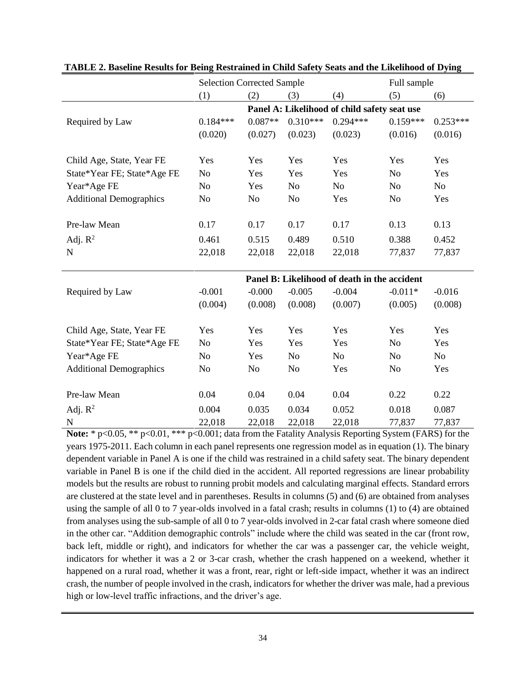|                                | <b>Selection Corrected Sample</b>            |                |                |                                              | Full sample    |                |
|--------------------------------|----------------------------------------------|----------------|----------------|----------------------------------------------|----------------|----------------|
|                                | (1)                                          | (2)            | (3)            | (4)                                          | (5)            | (6)            |
|                                | Panel A: Likelihood of child safety seat use |                |                |                                              |                |                |
| Required by Law                | $0.184***$                                   | $0.087**$      | $0.310***$     | $0.294***$                                   | $0.159***$     | $0.253***$     |
|                                | (0.020)                                      | (0.027)        | (0.023)        | (0.023)                                      | (0.016)        | (0.016)        |
|                                |                                              |                |                |                                              |                |                |
| Child Age, State, Year FE      | Yes                                          | Yes            | Yes            | Yes                                          | Yes            | Yes            |
| State*Year FE; State*Age FE    | N <sub>o</sub>                               | Yes            | Yes            | Yes                                          | No             | Yes            |
| Year*Age FE                    | N <sub>o</sub>                               | Yes            | N <sub>o</sub> | N <sub>o</sub>                               | N <sub>o</sub> | N <sub>o</sub> |
| <b>Additional Demographics</b> | N <sub>o</sub>                               | No             | N <sub>o</sub> | Yes                                          | No             | Yes            |
|                                |                                              |                |                |                                              |                |                |
| Pre-law Mean                   | 0.17                                         | 0.17           | 0.17           | 0.17                                         | 0.13           | 0.13           |
| Adj. $R^2$                     | 0.461                                        | 0.515          | 0.489          | 0.510                                        | 0.388          | 0.452          |
| $\mathbf N$                    | 22,018                                       | 22,018         | 22,018         | 22,018                                       | 77,837         | 77,837         |
|                                |                                              |                |                |                                              |                |                |
|                                |                                              |                |                | Panel B: Likelihood of death in the accident |                |                |
| Required by Law                | $-0.001$                                     | $-0.000$       | $-0.005$       | $-0.004$                                     | $-0.011*$      | $-0.016$       |
|                                | (0.004)                                      | (0.008)        | (0.008)        | (0.007)                                      | (0.005)        | (0.008)        |
|                                |                                              |                |                |                                              |                |                |
| Child Age, State, Year FE      | Yes                                          | Yes            | Yes            | Yes                                          | Yes            | Yes            |
| State*Year FE; State*Age FE    | No                                           | Yes            | Yes            | Yes                                          | No             | Yes            |
| Year*Age FE                    | N <sub>o</sub>                               | Yes            | N <sub>o</sub> | N <sub>0</sub>                               | No             | No             |
| <b>Additional Demographics</b> | N <sub>o</sub>                               | N <sub>0</sub> | N <sub>0</sub> | Yes                                          | N <sub>o</sub> | Yes            |
|                                |                                              |                |                |                                              |                |                |
| Pre-law Mean                   | 0.04                                         | 0.04           | 0.04           | 0.04                                         | 0.22           | 0.22           |
| Adj. $R^2$                     | 0.004                                        | 0.035          | 0.034          | 0.052                                        | 0.018          | 0.087          |
| $\mathbf N$                    | 22,018                                       | 22,018         | 22,018         | 22,018                                       | 77,837         | 77,837         |

**TABLE 2. Baseline Results for Being Restrained in Child Safety Seats and the Likelihood of Dying**

Note: \* p<0.05, \*\* p<0.01, \*\*\* p<0.001; data from the Fatality Analysis Reporting System (FARS) for the years 1975-2011. Each column in each panel represents one regression model as in equation (1). The binary dependent variable in Panel A is one if the child was restrained in a child safety seat. The binary dependent variable in Panel B is one if the child died in the accident. All reported regressions are linear probability models but the results are robust to running probit models and calculating marginal effects. Standard errors are clustered at the state level and in parentheses. Results in columns (5) and (6) are obtained from analyses using the sample of all 0 to 7 year-olds involved in a fatal crash; results in columns (1) to (4) are obtained from analyses using the sub-sample of all 0 to 7 year-olds involved in 2-car fatal crash where someone died in the other car. "Addition demographic controls" include where the child was seated in the car (front row, back left, middle or right), and indicators for whether the car was a passenger car, the vehicle weight, indicators for whether it was a 2 or 3-car crash, whether the crash happened on a weekend, whether it happened on a rural road, whether it was a front, rear, right or left-side impact, whether it was an indirect crash, the number of people involved in the crash, indicators for whether the driver was male, had a previous high or low-level traffic infractions, and the driver's age.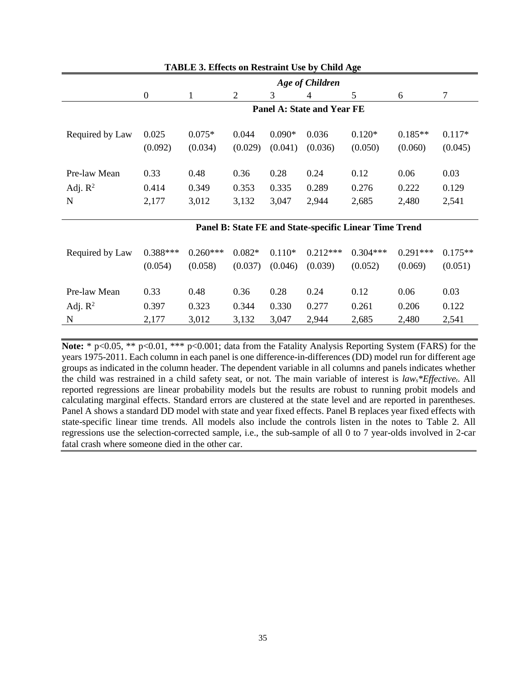|                 | $\bullet$<br><b>Age of Children</b> |          |         |          |         |                                                        |           |          |
|-----------------|-------------------------------------|----------|---------|----------|---------|--------------------------------------------------------|-----------|----------|
|                 | $\overline{0}$                      |          | 2       | 3        | 4       | 5                                                      | 6         | 7        |
|                 | <b>Panel A: State and Year FE</b>   |          |         |          |         |                                                        |           |          |
| Required by Law | 0.025                               | $0.075*$ | 0.044   | $0.090*$ | 0.036   | $0.120*$                                               | $0.185**$ | $0.117*$ |
|                 | (0.092)                             | (0.034)  | (0.029) | (0.041)  | (0.036) | (0.050)                                                | (0.060)   | (0.045)  |
| Pre-law Mean    | 0.33                                | 0.48     | 0.36    | 0.28     | 0.24    | 0.12                                                   | 0.06      | 0.03     |
| Adj. $R^2$      | 0.414                               | 0.349    | 0.353   | 0.335    | 0.289   | 0.276                                                  | 0.222     | 0.129    |
| N               | 2,177                               | 3,012    | 3,132   | 3,047    | 2,944   | 2,685                                                  | 2,480     | 2,541    |
|                 |                                     |          |         |          |         | Panel B: State FE and State-specific Linear Time Trend |           |          |

#### **TABLE 3. Effects on Restraint Use by Child Age**

# Required by Law 0.388\*\*\* 0.260\*\*\* 0.082\* 0.110\* 0.212\*\*\* 0.304\*\*\* 0.291\*\*\* 0.175\*\* (0.054) (0.058) (0.037) (0.046) (0.039) (0.052) (0.069) (0.051) Pre-law Mean 0.33 0.48 0.36 0.28 0.24 0.12 0.06 0.03 Adj. R<sup>2</sup> 0.397 0.323 0.344 0.330 0.277 0.261 0.206 0.122 N 2,177 3,012 3,132 3,047 2,944 2,685 2,480 2,541

**Note:**  $*$  p<0.05,  $**$  p<0.01,  $**$  p<0.001; data from the Fatality Analysis Reporting System (FARS) for the years 1975-2011. Each column in each panel is one difference-in-differences (DD) model run for different age groups as indicated in the column header. The dependent variable in all columns and panels indicates whether the child was restrained in a child safety seat, or not. The main variable of interest is *laws\*Effectivet*. All reported regressions are linear probability models but the results are robust to running probit models and calculating marginal effects. Standard errors are clustered at the state level and are reported in parentheses. Panel A shows a standard DD model with state and year fixed effects. Panel B replaces year fixed effects with state-specific linear time trends. All models also include the controls listen in the notes to Table 2. All regressions use the selection-corrected sample, i.e., the sub-sample of all 0 to 7 year-olds involved in 2-car fatal crash where someone died in the other car.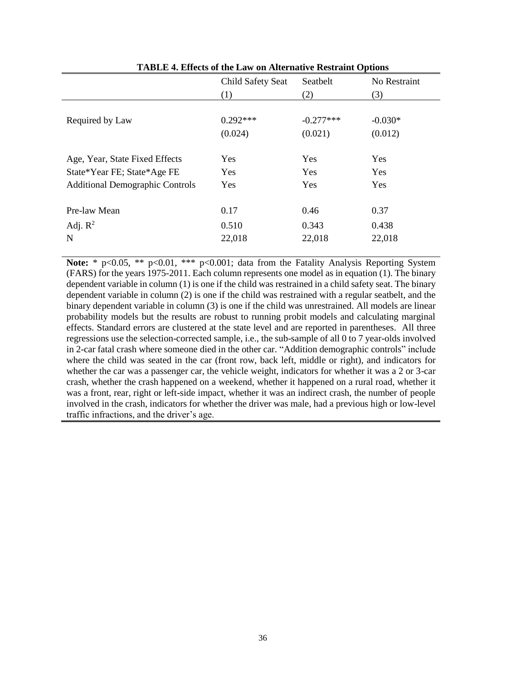|                                        | Child Safety Seat | Seatbelt    | No Restraint |
|----------------------------------------|-------------------|-------------|--------------|
|                                        | (1)               | (2)         | (3)          |
|                                        |                   |             |              |
| Required by Law                        | $0.292***$        | $-0.277***$ | $-0.030*$    |
|                                        | (0.024)           | (0.021)     | (0.012)      |
|                                        |                   |             |              |
| Age, Year, State Fixed Effects         | <b>Yes</b>        | <b>Yes</b>  | Yes          |
| State*Year FE; State*Age FE            | <b>Yes</b>        | <b>Yes</b>  | Yes          |
| <b>Additional Demographic Controls</b> | Yes               | <b>Yes</b>  | Yes          |
|                                        |                   |             |              |
| Pre-law Mean                           | 0.17              | 0.46        | 0.37         |
| Adj. $R^2$                             | 0.510             | 0.343       | 0.438        |
| N                                      | 22,018            | 22,018      | 22,018       |
|                                        |                   |             |              |

**TABLE 4. Effects of the Law on Alternative Restraint Options**

Note: \* p<0.05, \*\* p<0.01, \*\*\* p<0.001; data from the Fatality Analysis Reporting System (FARS) for the years 1975-2011. Each column represents one model as in equation (1). The binary dependent variable in column (1) is one if the child was restrained in a child safety seat. The binary dependent variable in column (2) is one if the child was restrained with a regular seatbelt, and the binary dependent variable in column (3) is one if the child was unrestrained. All models are linear probability models but the results are robust to running probit models and calculating marginal effects. Standard errors are clustered at the state level and are reported in parentheses. All three regressions use the selection-corrected sample, i.e., the sub-sample of all 0 to 7 year-olds involved in 2-car fatal crash where someone died in the other car. "Addition demographic controls" include where the child was seated in the car (front row, back left, middle or right), and indicators for whether the car was a passenger car, the vehicle weight, indicators for whether it was a 2 or 3-car crash, whether the crash happened on a weekend, whether it happened on a rural road, whether it was a front, rear, right or left-side impact, whether it was an indirect crash, the number of people involved in the crash, indicators for whether the driver was male, had a previous high or low-level traffic infractions, and the driver's age.